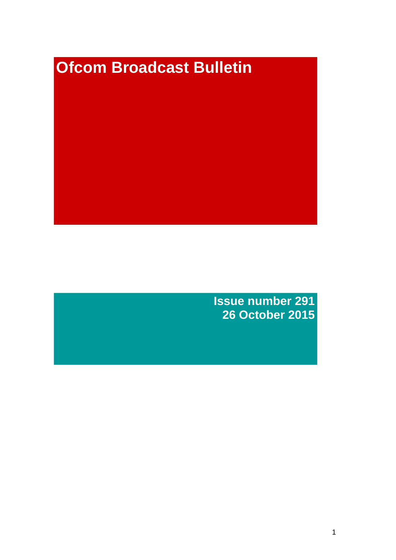# **Ofcom Broadcast Bulletin**

**Issue number 291 26 October 2015**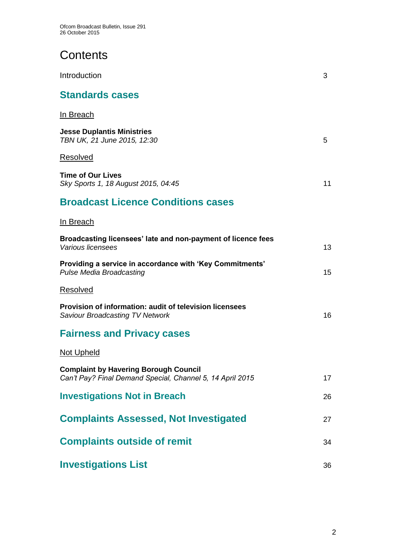## **Contents**

| Introduction                                                                                              | 3  |
|-----------------------------------------------------------------------------------------------------------|----|
| <b>Standards cases</b>                                                                                    |    |
| In Breach                                                                                                 |    |
| <b>Jesse Duplantis Ministries</b><br>TBN UK, 21 June 2015, 12:30                                          | 5  |
| Resolved                                                                                                  |    |
| <b>Time of Our Lives</b><br>Sky Sports 1, 18 August 2015, 04:45                                           | 11 |
| <b>Broadcast Licence Conditions cases</b>                                                                 |    |
| In Breach                                                                                                 |    |
| Broadcasting licensees' late and non-payment of licence fees<br>Various licensees                         | 13 |
| Providing a service in accordance with 'Key Commitments'<br><b>Pulse Media Broadcasting</b>               | 15 |
| Resolved                                                                                                  |    |
| Provision of information: audit of television licensees<br><b>Saviour Broadcasting TV Network</b>         | 16 |
| <b>Fairness and Privacy cases</b>                                                                         |    |
| Not Upheld                                                                                                |    |
| <b>Complaint by Havering Borough Council</b><br>Can't Pay? Final Demand Special, Channel 5, 14 April 2015 | 17 |
| <b>Investigations Not in Breach</b>                                                                       | 26 |
| <b>Complaints Assessed, Not Investigated</b>                                                              | 27 |
| <b>Complaints outside of remit</b>                                                                        | 34 |
| <b>Investigations List</b>                                                                                | 36 |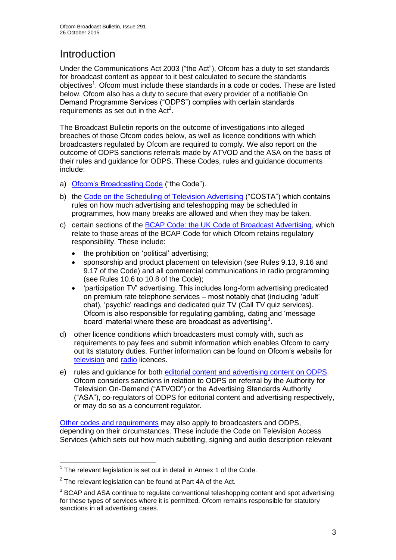## Introduction

Under the Communications Act 2003 ("the Act"), Ofcom has a duty to set standards for broadcast content as appear to it best calculated to secure the standards objectives<sup>1</sup>. Ofcom must include these standards in a code or codes. These are listed below. Ofcom also has a duty to secure that every provider of a notifiable On Demand Programme Services ("ODPS") complies with certain standards requirements as set out in the  $Act<sup>2</sup>$ .

The Broadcast Bulletin reports on the outcome of investigations into alleged breaches of those Ofcom codes below, as well as licence conditions with which broadcasters regulated by Ofcom are required to comply. We also report on the outcome of ODPS sanctions referrals made by ATVOD and the ASA on the basis of their rules and guidance for ODPS. These Codes, rules and guidance documents include:

- a) [Ofcom's Broadcasting Code](http://stakeholders.ofcom.org.uk/broadcasting/broadcast-codes/broadcast-code/) ("the Code").
- b) the [Code on the Scheduling of Television Advertising](http://stakeholders.ofcom.org.uk/broadcasting/broadcast-codes/advert-code/) ("COSTA") which contains rules on how much advertising and teleshopping may be scheduled in programmes, how many breaks are allowed and when they may be taken.
- c) certain sections of the [BCAP Code: the UK Code of Broadcast Advertising,](https://www.cap.org.uk/Advertising-Codes/Broadcast.aspx) which relate to those areas of the BCAP Code for which Ofcom retains regulatory responsibility. These include:
	- the prohibition on 'political' advertising;
	- sponsorship and product placement on television (see Rules 9.13, 9.16 and 9.17 of the Code) and all commercial communications in radio programming (see Rules 10.6 to 10.8 of the Code);
	- 'participation TV' advertising. This includes long-form advertising predicated on premium rate telephone services – most notably chat (including 'adult' chat), 'psychic' readings and dedicated quiz TV (Call TV quiz services). Ofcom is also responsible for regulating gambling, dating and 'message board' material where these are broadcast as advertising<sup>3</sup>.
- d) other licence conditions which broadcasters must comply with, such as requirements to pay fees and submit information which enables Ofcom to carry out its statutory duties. Further information can be found on Ofcom's website for [television](http://licensing.ofcom.org.uk/tv-broadcast-licences/) and [radio](http://licensing.ofcom.org.uk/radio-broadcast-licensing/) licences.
- e) rules and guidance for both [editorial content and advertising content on ODPS.](http://www.atvod.co.uk/uploads/files/ATVOD_Rules_and_Guidance_Ed_2.0_May_2012.pdf) Ofcom considers sanctions in relation to ODPS on referral by the Authority for Television On-Demand ("ATVOD") or the Advertising Standards Authority ("ASA"), co-regulators of ODPS for editorial content and advertising respectively, or may do so as a concurrent regulator.

[Other codes and requirements](http://stakeholders.ofcom.org.uk/broadcasting/broadcast-codes/) may also apply to broadcasters and ODPS, depending on their circumstances. These include the Code on Television Access Services (which sets out how much subtitling, signing and audio description relevant

 $\overline{1}$  $1$  The relevant legislation is set out in detail in Annex 1 of the Code.

 $2$  The relevant legislation can be found at Part 4A of the Act.

 $3$  BCAP and ASA continue to regulate conventional teleshopping content and spot advertising for these types of services where it is permitted. Ofcom remains responsible for statutory sanctions in all advertising cases.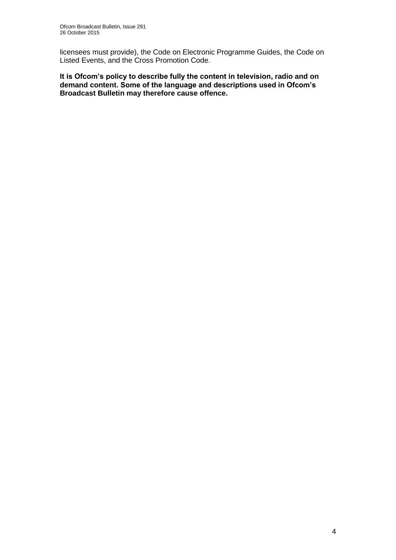licensees must provide), the Code on Electronic Programme Guides, the Code on Listed Events, and the Cross Promotion Code.

**It is Ofcom's policy to describe fully the content in television, radio and on demand content. Some of the language and descriptions used in Ofcom's Broadcast Bulletin may therefore cause offence.**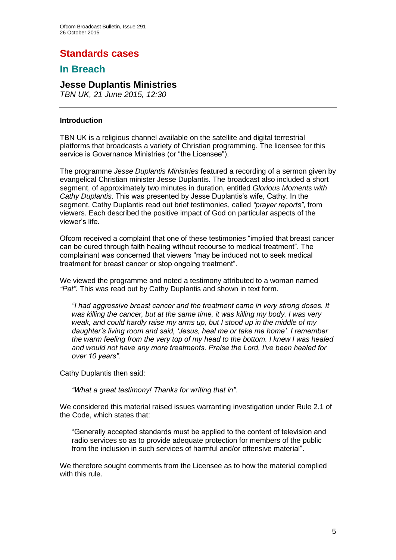## **Standards cases**

## **In Breach**

## **Jesse Duplantis Ministries**

*TBN UK, 21 June 2015, 12:30* 

#### **Introduction**

TBN UK is a religious channel available on the satellite and digital terrestrial platforms that broadcasts a variety of Christian programming. The licensee for this service is Governance Ministries (or "the Licensee").

The programme *Jesse Duplantis Ministries* featured a recording of a sermon given by evangelical Christian minister Jesse Duplantis. The broadcast also included a short segment, of approximately two minutes in duration, entitled *Glorious Moments with Cathy Duplantis*. This was presented by Jesse Duplantis's wife, Cathy. In the segment, Cathy Duplantis read out brief testimonies, called *"prayer reports"*, from viewers. Each described the positive impact of God on particular aspects of the viewer's life.

Ofcom received a complaint that one of these testimonies "implied that breast cancer can be cured through faith healing without recourse to medical treatment". The complainant was concerned that viewers "may be induced not to seek medical treatment for breast cancer or stop ongoing treatment".

We viewed the programme and noted a testimony attributed to a woman named *"Pat"*. This was read out by Cathy Duplantis and shown in text form.

*"I had aggressive breast cancer and the treatment came in very strong doses. It was killing the cancer, but at the same time, it was killing my body. I was very weak, and could hardly raise my arms up, but I stood up in the middle of my daughter's living room and said, 'Jesus, heal me or take me home'. I remember the warm feeling from the very top of my head to the bottom. I knew I was healed and would not have any more treatments. Praise the Lord, I've been healed for over 10 years".*

Cathy Duplantis then said:

*"What a great testimony! Thanks for writing that in".*

We considered this material raised issues warranting investigation under Rule 2.1 of the Code, which states that:

"Generally accepted standards must be applied to the content of television and radio services so as to provide adequate protection for members of the public from the inclusion in such services of harmful and/or offensive material".

We therefore sought comments from the Licensee as to how the material complied with this rule.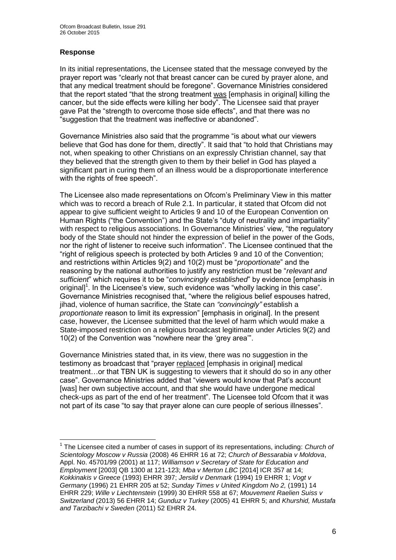#### **Response**

1

In its initial representations, the Licensee stated that the message conveyed by the prayer report was "clearly not that breast cancer can be cured by prayer alone, and that any medical treatment should be foregone". Governance Ministries considered that the report stated "that the strong treatment was [emphasis in original] killing the cancer, but the side effects were killing her body". The Licensee said that prayer gave Pat the "strength to overcome those side effects", and that there was no "suggestion that the treatment was ineffective or abandoned".

Governance Ministries also said that the programme "is about what our viewers believe that God has done for them, directly". It said that "to hold that Christians may not, when speaking to other Christians on an expressly Christian channel, say that they believed that the strength given to them by their belief in God has played a significant part in curing them of an illness would be a disproportionate interference with the rights of free speech".

The Licensee also made representations on Ofcom's Preliminary View in this matter which was to record a breach of Rule 2.1. In particular, it stated that Ofcom did not appear to give sufficient weight to Articles 9 and 10 of the European Convention on Human Rights ("the Convention") and the State's "duty of neutrality and impartiality" with respect to religious associations. In Governance Ministries' view, "the regulatory body of the State should not hinder the expression of belief in the power of the Gods, nor the right of listener to receive such information". The Licensee continued that the "right of religious speech is protected by both Articles 9 and 10 of the Convention; and restrictions within Articles 9(2) and 10(2) must be "*proportionate*" and the reasoning by the national authorities to justify any restriction must be "*relevant and sufficient*" which requires it to be "*convincingly established*" by evidence [emphasis in original]<sup>1</sup>. In the Licensee's view, such evidence was "wholly lacking in this case". Governance Ministries recognised that, "where the religious belief espouses hatred, jihad, violence of human sacrifice, the State can *"convincingly"* establish a *proportionate* reason to limit its expression" [emphasis in original]. In the present case, however, the Licensee submitted that the level of harm which would make a State-imposed restriction on a religious broadcast legitimate under Articles 9(2) and 10(2) of the Convention was "nowhere near the 'grey area'".

Governance Ministries stated that, in its view, there was no suggestion in the testimony as broadcast that "prayer replaced [emphasis in original] medical treatment…or that TBN UK is suggesting to viewers that it should do so in any other case". Governance Ministries added that "viewers would know that Pat's account [was] her own subjective account, and that she would have undergone medical check-ups as part of the end of her treatment". The Licensee told Ofcom that it was not part of its case "to say that prayer alone can cure people of serious illnesses".

<sup>1</sup> The Licensee cited a number of cases in support of its representations, including: *Church of Scientology Moscow v Russia* (2008) 46 EHRR 16 at 72; *Church of Bessarabia v Moldova*, Appl. No. 45701/99 (2001) at 117; *Williamson v Secretary of State for Education and Employment* [2003] QB 1300 at 121-123; *Mba v Merton LBC* [2014] ICR 357 at 14; *Kokkinakis v Greece* (1993) EHRR 397; *Jersild v Denmark* (1994) 19 EHRR 1; *Vogt v Germany* (1996) 21 EHRR 205 at 52; *Sunday Times v United Kingdom No 2,* (1991) 14 EHRR 229; *Wille v Liechtenstein* (1999) 30 EHRR 558 at 67; *Mouvement Raelien Suiss v Switzerland* (2013) 56 EHRR 14; *Gunduz v Turkey* (2005) 41 EHRR 5; and *Khurshid, Mustafa and Tarzibachi v Sweden* (2011) 52 EHRR 24.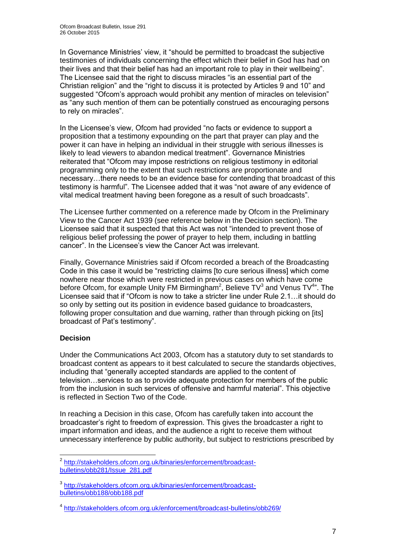In Governance Ministries' view, it "should be permitted to broadcast the subjective testimonies of individuals concerning the effect which their belief in God has had on their lives and that their belief has had an important role to play in their wellbeing". The Licensee said that the right to discuss miracles "is an essential part of the Christian religion" and the "right to discuss it is protected by Articles 9 and 10" and suggested "Ofcom's approach would prohibit any mention of miracles on television" as "any such mention of them can be potentially construed as encouraging persons to rely on miracles".

In the Licensee's view, Ofcom had provided "no facts or evidence to support a proposition that a testimony expounding on the part that prayer can play and the power it can have in helping an individual in their struggle with serious illnesses is likely to lead viewers to abandon medical treatment". Governance Ministries reiterated that "Ofcom may impose restrictions on religious testimony in editorial programming only to the extent that such restrictions are proportionate and necessary…there needs to be an evidence base for contending that broadcast of this testimony is harmful". The Licensee added that it was "not aware of any evidence of vital medical treatment having been foregone as a result of such broadcasts".

The Licensee further commented on a reference made by Ofcom in the Preliminary View to the Cancer Act 1939 (see reference below in the Decision section). The Licensee said that it suspected that this Act was not "intended to prevent those of religious belief professing the power of prayer to help them, including in battling cancer". In the Licensee's view the Cancer Act was irrelevant.

Finally, Governance Ministries said if Ofcom recorded a breach of the Broadcasting Code in this case it would be "restricting claims [to cure serious illness] which come nowhere near those which were restricted in previous cases on which have come before Ofcom, for example Unity FM Birmingham<sup>2</sup>, Believe TV<sup>3</sup> and Venus TV<sup>4</sup>". The Licensee said that if "Ofcom is now to take a stricter line under Rule 2.1…it should do so only by setting out its position in evidence based guidance to broadcasters, following proper consultation and due warning, rather than through picking on [its] broadcast of Pat's testimony".

## **Decision**

Under the Communications Act 2003, Ofcom has a statutory duty to set standards to broadcast content as appears to it best calculated to secure the standards objectives, including that "generally accepted standards are applied to the content of television…services to as to provide adequate protection for members of the public from the inclusion in such services of offensive and harmful material". This objective is reflected in Section Two of the Code.

In reaching a Decision in this case, Ofcom has carefully taken into account the broadcaster's right to freedom of expression. This gives the broadcaster a right to impart information and ideas, and the audience a right to receive them without unnecessary interference by public authority, but subject to restrictions prescribed by

<sup>1</sup> <sup>2</sup> [http://stakeholders.ofcom.org.uk/binaries/enforcement/broadcast](http://stakeholders.ofcom.org.uk/binaries/enforcement/broadcast-bulletins/obb281/Issue_281.pdf)[bulletins/obb281/Issue\\_281.pdf](http://stakeholders.ofcom.org.uk/binaries/enforcement/broadcast-bulletins/obb281/Issue_281.pdf)

<sup>3</sup> [http://stakeholders.ofcom.org.uk/binaries/enforcement/broadcast](http://stakeholders.ofcom.org.uk/binaries/enforcement/broadcast-bulletins/obb188/obb188.pdf)[bulletins/obb188/obb188.pdf](http://stakeholders.ofcom.org.uk/binaries/enforcement/broadcast-bulletins/obb188/obb188.pdf)

<sup>4</sup> <http://stakeholders.ofcom.org.uk/enforcement/broadcast-bulletins/obb269/>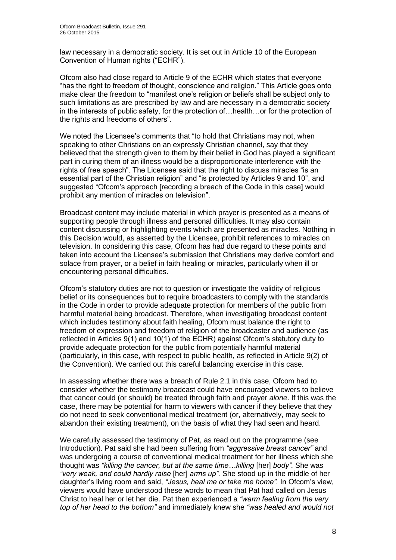law necessary in a democratic society. It is set out in Article 10 of the European Convention of Human rights ("ECHR").

Ofcom also had close regard to Article 9 of the ECHR which states that everyone "has the right to freedom of thought, conscience and religion." This Article goes onto make clear the freedom to "manifest one's religion or beliefs shall be subject only to such limitations as are prescribed by law and are necessary in a democratic society in the interests of public safety, for the protection of…health…or for the protection of the rights and freedoms of others".

We noted the Licensee's comments that "to hold that Christians may not, when speaking to other Christians on an expressly Christian channel, say that they believed that the strength given to them by their belief in God has played a significant part in curing them of an illness would be a disproportionate interference with the rights of free speech". The Licensee said that the right to discuss miracles "is an essential part of the Christian religion" and "is protected by Articles 9 and 10", and suggested "Ofcom's approach [recording a breach of the Code in this case] would prohibit any mention of miracles on television".

Broadcast content may include material in which prayer is presented as a means of supporting people through illness and personal difficulties. It may also contain content discussing or highlighting events which are presented as miracles. Nothing in this Decision would, as asserted by the Licensee, prohibit references to miracles on television. In considering this case, Ofcom has had due regard to these points and taken into account the Licensee's submission that Christians may derive comfort and solace from prayer, or a belief in faith healing or miracles, particularly when ill or encountering personal difficulties.

Ofcom's statutory duties are not to question or investigate the validity of religious belief or its consequences but to require broadcasters to comply with the standards in the Code in order to provide adequate protection for members of the public from harmful material being broadcast. Therefore, when investigating broadcast content which includes testimony about faith healing, Ofcom must balance the right to freedom of expression and freedom of religion of the broadcaster and audience (as reflected in Articles 9(1) and 10(1) of the ECHR) against Ofcom's statutory duty to provide adequate protection for the public from potentially harmful material (particularly, in this case, with respect to public health, as reflected in Article 9(2) of the Convention). We carried out this careful balancing exercise in this case.

In assessing whether there was a breach of Rule 2.1 in this case, Ofcom had to consider whether the testimony broadcast could have encouraged viewers to believe that cancer could (or should) be treated through faith and prayer *alone*. If this was the case, there may be potential for harm to viewers with cancer if they believe that they do not need to seek conventional medical treatment (or, alternatively, may seek to abandon their existing treatment), on the basis of what they had seen and heard.

We carefully assessed the testimony of Pat, as read out on the programme (see Introduction). Pat said she had been suffering from *"aggressive breast cancer"* and was undergoing a course of conventional medical treatment for her illness which she thought was *"killing the cancer, but at the same time…killing* [her] *body".* She was *"very weak, and could hardly raise* [her] *arms up".* She stood up in the middle of her daughter's living room and said, *"Jesus, heal me or take me home".* In Ofcom's view, viewers would have understood these words to mean that Pat had called on Jesus Christ to heal her or let her die. Pat then experienced a *"warm feeling from the very top of her head to the bottom"* and immediately knew she *"was healed and would not*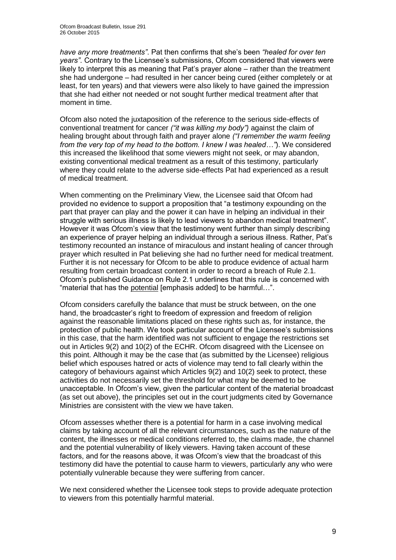*have any more treatments"*. Pat then confirms that she's been *"healed for over ten years"*. Contrary to the Licensee's submissions, Ofcom considered that viewers were likely to interpret this as meaning that Pat's prayer alone – rather than the treatment she had undergone – had resulted in her cancer being cured (either completely or at least, for ten years) and that viewers were also likely to have gained the impression that she had either not needed or not sought further medical treatment after that moment in time.

Ofcom also noted the juxtaposition of the reference to the serious side-effects of conventional treatment for cancer *("it was killing my body")* against the claim of healing brought about through faith and prayer alone *("I remember the warm feeling from the very top of my head to the bottom. I knew I was healed…"*). We considered this increased the likelihood that some viewers might not seek, or may abandon, existing conventional medical treatment as a result of this testimony, particularly where they could relate to the adverse side-effects Pat had experienced as a result of medical treatment.

When commenting on the Preliminary View, the Licensee said that Ofcom had provided no evidence to support a proposition that "a testimony expounding on the part that prayer can play and the power it can have in helping an individual in their struggle with serious illness is likely to lead viewers to abandon medical treatment". However it was Ofcom's view that the testimony went further than simply describing an experience of prayer helping an individual through a serious illness. Rather, Pat's testimony recounted an instance of miraculous and instant healing of cancer through prayer which resulted in Pat believing she had no further need for medical treatment. Further it is not necessary for Ofcom to be able to produce evidence of actual harm resulting from certain broadcast content in order to record a breach of Rule 2.1. Ofcom's published Guidance on Rule 2.1 underlines that this rule is concerned with "material that has the potential [emphasis added] to be harmful…".

Ofcom considers carefully the balance that must be struck between, on the one hand, the broadcaster's right to freedom of expression and freedom of religion against the reasonable limitations placed on these rights such as, for instance, the protection of public health. We took particular account of the Licensee's submissions in this case, that the harm identified was not sufficient to engage the restrictions set out in Articles 9(2) and 10(2) of the ECHR. Ofcom disagreed with the Licensee on this point. Although it may be the case that (as submitted by the Licensee) religious belief which espouses hatred or acts of violence may tend to fall clearly within the category of behaviours against which Articles 9(2) and 10(2) seek to protect, these activities do not necessarily set the threshold for what may be deemed to be unacceptable. In Ofcom's view, given the particular content of the material broadcast (as set out above), the principles set out in the court judgments cited by Governance Ministries are consistent with the view we have taken.

Ofcom assesses whether there is a potential for harm in a case involving medical claims by taking account of all the relevant circumstances, such as the nature of the content, the illnesses or medical conditions referred to, the claims made, the channel and the potential vulnerability of likely viewers. Having taken account of these factors, and for the reasons above, it was Ofcom's view that the broadcast of this testimony did have the potential to cause harm to viewers, particularly any who were potentially vulnerable because they were suffering from cancer.

We next considered whether the Licensee took steps to provide adequate protection to viewers from this potentially harmful material.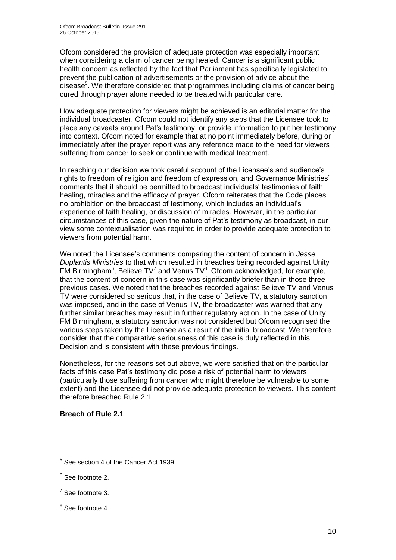Ofcom considered the provision of adequate protection was especially important when considering a claim of cancer being healed. Cancer is a significant public health concern as reflected by the fact that Parliament has specifically legislated to prevent the publication of advertisements or the provision of advice about the disease<sup>5</sup>. We therefore considered that programmes including claims of cancer being cured through prayer alone needed to be treated with particular care.

How adequate protection for viewers might be achieved is an editorial matter for the individual broadcaster. Ofcom could not identify any steps that the Licensee took to place any caveats around Pat's testimony, or provide information to put her testimony into context. Ofcom noted for example that at no point immediately before, during or immediately after the prayer report was any reference made to the need for viewers suffering from cancer to seek or continue with medical treatment.

In reaching our decision we took careful account of the Licensee's and audience's rights to freedom of religion and freedom of expression, and Governance Ministries' comments that it should be permitted to broadcast individuals' testimonies of faith healing, miracles and the efficacy of prayer. Ofcom reiterates that the Code places no prohibition on the broadcast of testimony, which includes an individual's experience of faith healing, or discussion of miracles. However, in the particular circumstances of this case, given the nature of Pat's testimony as broadcast, in our view some contextualisation was required in order to provide adequate protection to viewers from potential harm.

We noted the Licensee's comments comparing the content of concern in *Jesse Duplantis Ministries* to that which resulted in breaches being recorded against Unity FM Birmingham<sup>6</sup>, Believe TV<sup>7</sup> and Venus TV<sup>8</sup>. Ofcom acknowledged, for example, that the content of concern in this case was significantly briefer than in those three previous cases. We noted that the breaches recorded against Believe TV and Venus TV were considered so serious that, in the case of Believe TV, a statutory sanction was imposed, and in the case of Venus TV, the broadcaster was warned that any further similar breaches may result in further regulatory action. In the case of Unity FM Birmingham, a statutory sanction was not considered but Ofcom recognised the various steps taken by the Licensee as a result of the initial broadcast. We therefore consider that the comparative seriousness of this case is duly reflected in this Decision and is consistent with these previous findings.

Nonetheless, for the reasons set out above, we were satisfied that on the particular facts of this case Pat's testimony did pose a risk of potential harm to viewers (particularly those suffering from cancer who might therefore be vulnerable to some extent) and the Licensee did not provide adequate protection to viewers. This content therefore breached Rule 2.1.

## **Breach of Rule 2.1**

 5 See section 4 of the Cancer Act 1939.

<sup>&</sup>lt;sup>6</sup> See footnote 2.

 $7$  See footnote 3.

<sup>&</sup>lt;sup>8</sup> See footnote 4.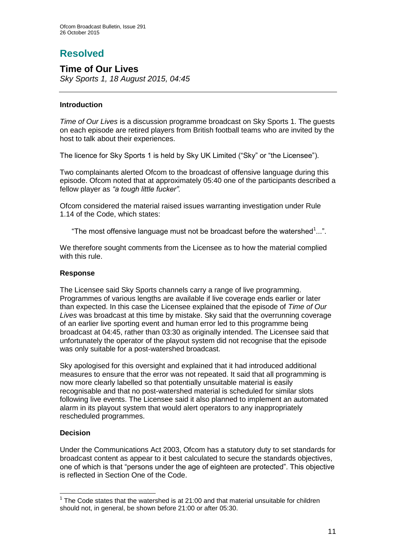## **Resolved**

## **Time of Our Lives**

*Sky Sports 1, 18 August 2015, 04:45*

#### **Introduction**

*Time of Our Lives* is a discussion programme broadcast on Sky Sports 1. The guests on each episode are retired players from British football teams who are invited by the host to talk about their experiences.

The licence for Sky Sports 1 is held by Sky UK Limited ("Sky" or "the Licensee").

Two complainants alerted Ofcom to the broadcast of offensive language during this episode. Ofcom noted that at approximately 05:40 one of the participants described a fellow player as *"a tough little fucker".*

Ofcom considered the material raised issues warranting investigation under Rule 1.14 of the Code, which states:

"The most offensive language must not be broadcast before the watershed $1...$ ".

We therefore sought comments from the Licensee as to how the material complied with this rule.

#### **Response**

The Licensee said Sky Sports channels carry a range of live programming. Programmes of various lengths are available if live coverage ends earlier or later than expected. In this case the Licensee explained that the episode of *Time of Our Lives* was broadcast at this time by mistake. Sky said that the overrunning coverage of an earlier live sporting event and human error led to this programme being broadcast at 04:45, rather than 03:30 as originally intended. The Licensee said that unfortunately the operator of the playout system did not recognise that the episode was only suitable for a post-watershed broadcast.

Sky apologised for this oversight and explained that it had introduced additional measures to ensure that the error was not repeated. It said that all programming is now more clearly labelled so that potentially unsuitable material is easily recognisable and that no post-watershed material is scheduled for similar slots following live events. The Licensee said it also planned to implement an automated alarm in its playout system that would alert operators to any inappropriately rescheduled programmes.

## **Decision**

1

Under the Communications Act 2003, Ofcom has a statutory duty to set standards for broadcast content as appear to it best calculated to secure the standards objectives, one of which is that "persons under the age of eighteen are protected". This objective is reflected in Section One of the Code.

 $1$  The Code states that the watershed is at 21:00 and that material unsuitable for children should not, in general, be shown before 21:00 or after 05:30.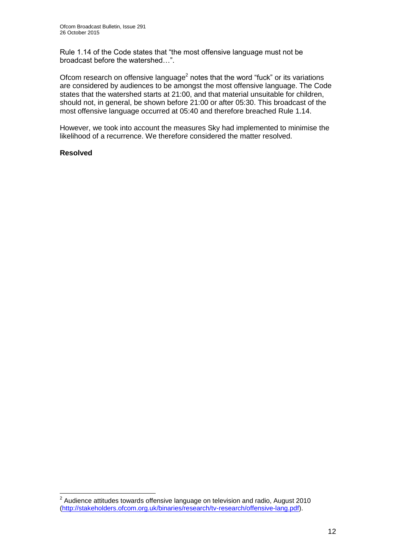Rule 1.14 of the Code states that "the most offensive language must not be broadcast before the watershed…".

Ofcom research on offensive language<sup>2</sup> notes that the word "fuck" or its variations are considered by audiences to be amongst the most offensive language. The Code states that the watershed starts at 21:00, and that material unsuitable for children, should not, in general, be shown before 21:00 or after 05:30. This broadcast of the most offensive language occurred at 05:40 and therefore breached Rule 1.14.

However, we took into account the measures Sky had implemented to minimise the likelihood of a recurrence. We therefore considered the matter resolved.

#### **Resolved**

 2 Audience attitudes towards offensive language on television and radio, August 2010 [\(http://stakeholders.ofcom.org.uk/binaries/research/tv-research/offensive-lang.pdf\)](http://stakeholders.ofcom.org.uk/binaries/research/tv-research/offensive-lang.pdf).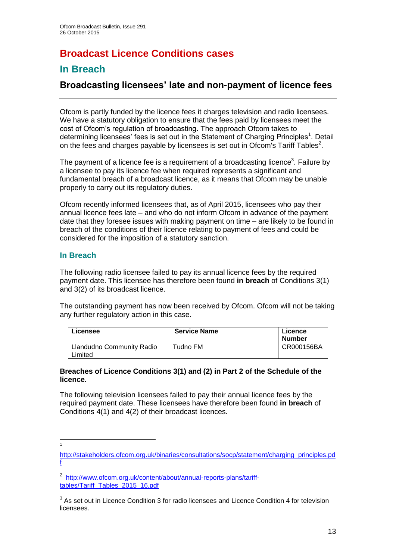## **Broadcast Licence Conditions cases**

## **In Breach**

## **Broadcasting licensees' late and non-payment of licence fees**

Ofcom is partly funded by the licence fees it charges television and radio licensees. We have a statutory obligation to ensure that the fees paid by licensees meet the cost of Ofcom's regulation of broadcasting. The approach Ofcom takes to determining licensees' fees is set out in the Statement of Charging Principles<sup>1</sup>. Detail on the fees and charges payable by licensees is set out in Ofcom's Tariff Tables<sup>2</sup>.

The payment of a licence fee is a requirement of a broadcasting licence<sup>3</sup>. Failure by a licensee to pay its licence fee when required represents a significant and fundamental breach of a broadcast licence, as it means that Ofcom may be unable properly to carry out its regulatory duties.

Ofcom recently informed licensees that, as of April 2015, licensees who pay their annual licence fees late – and who do not inform Ofcom in advance of the payment date that they foresee issues with making payment on time – are likely to be found in breach of the conditions of their licence relating to payment of fees and could be considered for the imposition of a statutory sanction.

## **In Breach**

The following radio licensee failed to pay its annual licence fees by the required payment date. This licensee has therefore been found **in breach** of Conditions 3(1) and 3(2) of its broadcast licence.

The outstanding payment has now been received by Ofcom. Ofcom will not be taking any further regulatory action in this case.

| <b>Licensee</b>                      | <b>Service Name</b> | Licence<br><b>Number</b> |
|--------------------------------------|---------------------|--------------------------|
| Llandudno Community Radio<br>Limited | Tudno FM            | CR000156BA               |

#### **Breaches of Licence Conditions 3(1) and (2) in Part 2 of the Schedule of the licence.**

The following television licensees failed to pay their annual licence fees by the required payment date. These licensees have therefore been found **in breach** of Conditions 4(1) and 4(2) of their broadcast licences.

<sup>1</sup> 1

[http://stakeholders.ofcom.org.uk/binaries/consultations/socp/statement/charging\\_principles.pd](http://stakeholders.ofcom.org.uk/binaries/consultations/socp/statement/charging_principles.pdf) [f](http://stakeholders.ofcom.org.uk/binaries/consultations/socp/statement/charging_principles.pdf)

<sup>&</sup>lt;sup>2</sup> [http://www.ofcom.org.uk/content/about/annual-reports-plans/tariff](http://www.ofcom.org.uk/content/about/annual-reports-plans/tariff-tables/Tariff_Tables_2015_16.pdf)[tables/Tariff\\_Tables\\_2015\\_16.pdf](http://www.ofcom.org.uk/content/about/annual-reports-plans/tariff-tables/Tariff_Tables_2015_16.pdf)

 $3$  As set out in Licence Condition 3 for radio licensees and Licence Condition 4 for television licensees.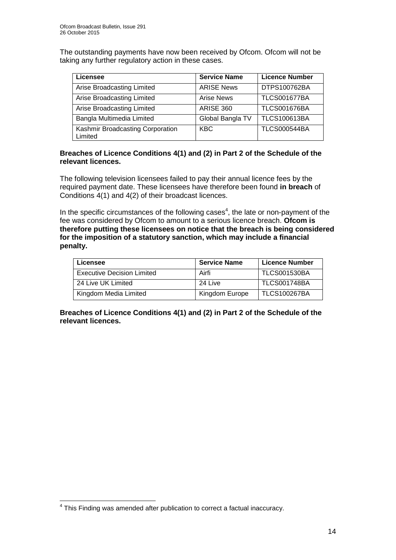The outstanding payments have now been received by Ofcom. Ofcom will not be taking any further regulatory action in these cases.

| Licensee                                    | <b>Service Name</b> | <b>Licence Number</b> |
|---------------------------------------------|---------------------|-----------------------|
| Arise Broadcasting Limited                  | <b>ARISE News</b>   | DTPS100762BA          |
| Arise Broadcasting Limited                  | Arise News          | <b>TLCS001677BA</b>   |
| Arise Broadcasting Limited                  | <b>ARISE 360</b>    | <b>TLCS001676BA</b>   |
| Bangla Multimedia Limited                   | Global Bangla TV    | <b>TLCS100613BA</b>   |
| Kashmir Broadcasting Corporation<br>Limited | <b>KBC</b>          | <b>TLCS000544BA</b>   |

#### **Breaches of Licence Conditions 4(1) and (2) in Part 2 of the Schedule of the relevant licences.**

The following television licensees failed to pay their annual licence fees by the required payment date. These licensees have therefore been found **in breach** of Conditions 4(1) and 4(2) of their broadcast licences.

In the specific circumstances of the following cases $4$ , the late or non-payment of the fee was considered by Ofcom to amount to a serious licence breach. **Ofcom is therefore putting these licensees on notice that the breach is being considered for the imposition of a statutory sanction, which may include a financial penalty.**

| <b>Licensee</b>                   | <b>Service Name</b> | <b>Licence Number</b> |
|-----------------------------------|---------------------|-----------------------|
| <b>Executive Decision Limited</b> | Airfi               | <b>TLCS001530BA</b>   |
| 24 Live UK Limited                | 24 Live             | <b>TLCS001748BA</b>   |
| Kingdom Media Limited             | Kingdom Europe      | <b>TLCS100267BA</b>   |

**Breaches of Licence Conditions 4(1) and (2) in Part 2 of the Schedule of the relevant licences.**

 4 This Finding was amended after publication to correct a factual inaccuracy.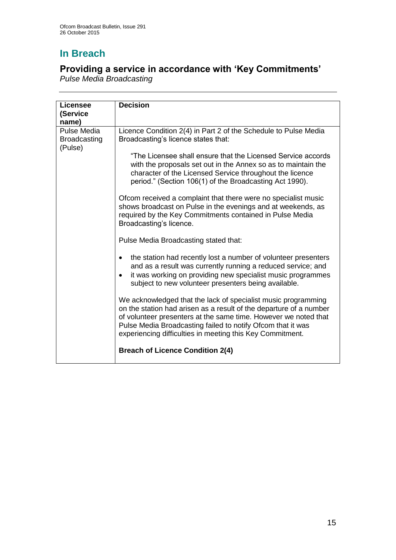## **In Breach**

## **Providing a service in accordance with 'Key Commitments'**

*Pulse Media Broadcasting*

| Licensee<br>(Service<br>name)                 | <b>Decision</b>                                                                                                                                                                                                                                                                                                                    |
|-----------------------------------------------|------------------------------------------------------------------------------------------------------------------------------------------------------------------------------------------------------------------------------------------------------------------------------------------------------------------------------------|
| Pulse Media<br><b>Broadcasting</b><br>(Pulse) | Licence Condition 2(4) in Part 2 of the Schedule to Pulse Media<br>Broadcasting's licence states that:                                                                                                                                                                                                                             |
|                                               | "The Licensee shall ensure that the Licensed Service accords<br>with the proposals set out in the Annex so as to maintain the<br>character of the Licensed Service throughout the licence<br>period." (Section 106(1) of the Broadcasting Act 1990).                                                                               |
|                                               | Ofcom received a complaint that there were no specialist music<br>shows broadcast on Pulse in the evenings and at weekends, as<br>required by the Key Commitments contained in Pulse Media<br>Broadcasting's licence.                                                                                                              |
|                                               | Pulse Media Broadcasting stated that:                                                                                                                                                                                                                                                                                              |
|                                               | the station had recently lost a number of volunteer presenters<br>and as a result was currently running a reduced service; and<br>it was working on providing new specialist music programmes<br>subject to new volunteer presenters being available.                                                                              |
|                                               | We acknowledged that the lack of specialist music programming<br>on the station had arisen as a result of the departure of a number<br>of volunteer presenters at the same time. However we noted that<br>Pulse Media Broadcasting failed to notify Ofcom that it was<br>experiencing difficulties in meeting this Key Commitment. |
|                                               | <b>Breach of Licence Condition 2(4)</b>                                                                                                                                                                                                                                                                                            |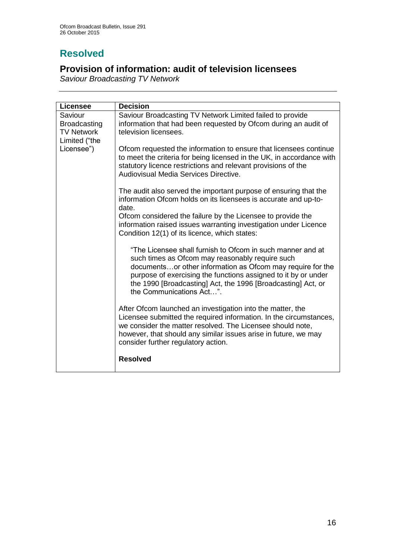## **Resolved**

## **Provision of information: audit of television licensees**

*Saviour Broadcasting TV Network*

| <b>Licensee</b>     | <b>Decision</b>                                                       |
|---------------------|-----------------------------------------------------------------------|
| Saviour             | Saviour Broadcasting TV Network Limited failed to provide             |
| <b>Broadcasting</b> | information that had been requested by Ofcom during an audit of       |
| <b>TV Network</b>   | television licensees.                                                 |
| Limited ("the       |                                                                       |
| Licensee")          | Ofcom requested the information to ensure that licensees continue     |
|                     | to meet the criteria for being licensed in the UK, in accordance with |
|                     | statutory licence restrictions and relevant provisions of the         |
|                     | Audiovisual Media Services Directive.                                 |
|                     |                                                                       |
|                     | The audit also served the important purpose of ensuring that the      |
|                     | information Ofcom holds on its licensees is accurate and up-to-       |
|                     | date.                                                                 |
|                     | Ofcom considered the failure by the Licensee to provide the           |
|                     | information raised issues warranting investigation under Licence      |
|                     | Condition 12(1) of its licence, which states:                         |
|                     |                                                                       |
|                     | "The Licensee shall furnish to Ofcom in such manner and at            |
|                     | such times as Ofcom may reasonably require such                       |
|                     | documentsor other information as Ofcom may require for the            |
|                     | purpose of exercising the functions assigned to it by or under        |
|                     | the 1990 [Broadcasting] Act, the 1996 [Broadcasting] Act, or          |
|                     | the Communications Act".                                              |
|                     |                                                                       |
|                     | After Ofcom launched an investigation into the matter, the            |
|                     | Licensee submitted the required information. In the circumstances,    |
|                     | we consider the matter resolved. The Licensee should note,            |
|                     | however, that should any similar issues arise in future, we may       |
|                     | consider further regulatory action.                                   |
|                     |                                                                       |
|                     | <b>Resolved</b>                                                       |
|                     |                                                                       |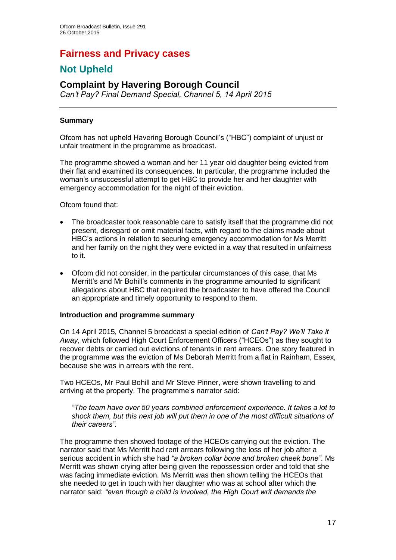## **Fairness and Privacy cases**

## **Not Upheld**

## **Complaint by Havering Borough Council**

*Can't Pay? Final Demand Special, Channel 5, 14 April 2015*

#### **Summary**

Ofcom has not upheld Havering Borough Council's ("HBC") complaint of unjust or unfair treatment in the programme as broadcast.

The programme showed a woman and her 11 year old daughter being evicted from their flat and examined its consequences. In particular, the programme included the woman's unsuccessful attempt to get HBC to provide her and her daughter with emergency accommodation for the night of their eviction.

Ofcom found that:

- The broadcaster took reasonable care to satisfy itself that the programme did not present, disregard or omit material facts, with regard to the claims made about HBC's actions in relation to securing emergency accommodation for Ms Merritt and her family on the night they were evicted in a way that resulted in unfairness to it.
- Ofcom did not consider, in the particular circumstances of this case, that Ms Merritt's and Mr Bohill's comments in the programme amounted to significant allegations about HBC that required the broadcaster to have offered the Council an appropriate and timely opportunity to respond to them.

#### **Introduction and programme summary**

On 14 April 2015, Channel 5 broadcast a special edition of *Can't Pay? We'll Take it Away*, which followed High Court Enforcement Officers ("HCEOs") as they sought to recover debts or carried out evictions of tenants in rent arrears. One story featured in the programme was the eviction of Ms Deborah Merritt from a flat in Rainham, Essex, because she was in arrears with the rent.

Two HCEOs, Mr Paul Bohill and Mr Steve Pinner, were shown travelling to and arriving at the property. The programme's narrator said:

*"The team have over 50 years combined enforcement experience. It takes a lot to shock them, but this next job will put them in one of the most difficult situations of their careers"*.

The programme then showed footage of the HCEOs carrying out the eviction. The narrator said that Ms Merritt had rent arrears following the loss of her job after a serious accident in which she had *"a broken collar bone and broken cheek bone"*. Ms Merritt was shown crying after being given the repossession order and told that she was facing immediate eviction. Ms Merritt was then shown telling the HCEOs that she needed to get in touch with her daughter who was at school after which the narrator said: *"even though a child is involved, the High Court writ demands the*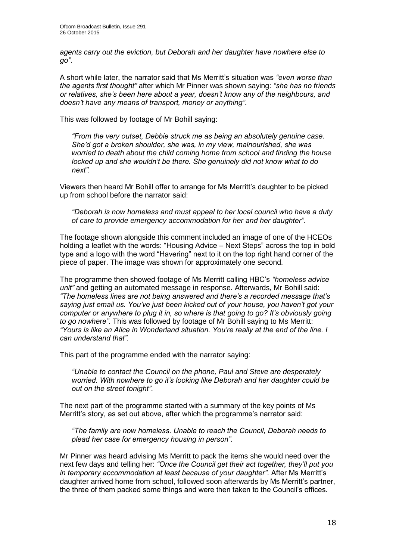*agents carry out the eviction, but Deborah and her daughter have nowhere else to go"*.

A short while later, the narrator said that Ms Merritt's situation was *"even worse than the agents first thought"* after which Mr Pinner was shown saying: *"she has no friends or relatives, she's been here about a year, doesn't know any of the neighbours, and doesn't have any means of transport, money or anything"*.

This was followed by footage of Mr Bohill saying:

*"From the very outset, Debbie struck me as being an absolutely genuine case. She'd got a broken shoulder, she was, in my view, malnourished, she was worried to death about the child coming home from school and finding the house locked up and she wouldn't be there. She genuinely did not know what to do next".*

Viewers then heard Mr Bohill offer to arrange for Ms Merritt's daughter to be picked up from school before the narrator said:

*"Deborah is now homeless and must appeal to her local council who have a duty of care to provide emergency accommodation for her and her daughter".* 

The footage shown alongside this comment included an image of one of the HCEOs holding a leaflet with the words: "Housing Advice – Next Steps" across the top in bold type and a logo with the word "Havering" next to it on the top right hand corner of the piece of paper. The image was shown for approximately one second.

The programme then showed footage of Ms Merritt calling HBC's *"homeless advice unit"* and getting an automated message in response. Afterwards, Mr Bohill said: *"The homeless lines are not being answered and there's a recorded message that's saying just email us. You've just been kicked out of your house, you haven't got your computer or anywhere to plug it in, so where is that going to go? It's obviously going to go nowhere".* This was followed by footage of Mr Bohill saying to Ms Merritt: *"Yours is like an Alice in Wonderland situation. You're really at the end of the line. I can understand that".*

This part of the programme ended with the narrator saying:

*"Unable to contact the Council on the phone, Paul and Steve are desperately worried. With nowhere to go it's looking like Deborah and her daughter could be out on the street tonight"*.

The next part of the programme started with a summary of the key points of Ms Merritt's story, as set out above, after which the programme's narrator said:

*"The family are now homeless. Unable to reach the Council, Deborah needs to plead her case for emergency housing in person"*.

Mr Pinner was heard advising Ms Merritt to pack the items she would need over the next few days and telling her: *"Once the Council get their act together, they'll put you in temporary accommodation at least because of your daughter"*. After Ms Merritt's daughter arrived home from school, followed soon afterwards by Ms Merritt's partner, the three of them packed some things and were then taken to the Council's offices.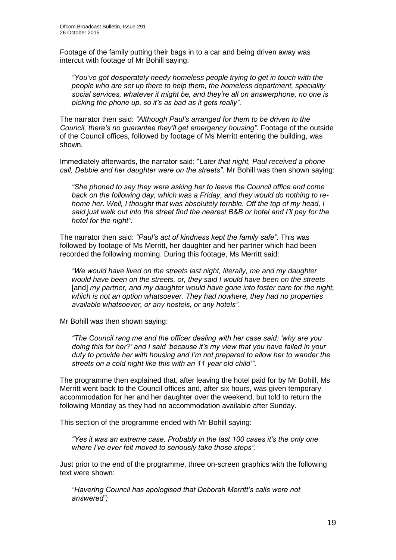Footage of the family putting their bags in to a car and being driven away was intercut with footage of Mr Bohill saying:

*"You've got desperately needy homeless people trying to get in touch with the people who are set up there to help them, the homeless department, speciality social services, whatever it might be, and they're all on answerphone, no one is picking the phone up, so it's as bad as it gets really"*.

The narrator then said: *"Although Paul's arranged for them to be driven to the Council, there's no guarantee they'll get emergency housing"*. Footage of the outside of the Council offices, followed by footage of Ms Merritt entering the building, was shown.

Immediately afterwards, the narrator said: "*Later that night, Paul received a phone call, Debbie and her daughter were on the streets"*. Mr Bohill was then shown saying:

*"She phoned to say they were asking her to leave the Council office and come back on the following day, which was a Friday, and they would do nothing to rehome her. Well, I thought that was absolutely terrible. Off the top of my head, I said just walk out into the street find the nearest B&B or hotel and I'll pay for the hotel for the night"*.

The narrator then said: *"Paul's act of kindness kept the family safe"*. This was followed by footage of Ms Merritt, her daughter and her partner which had been recorded the following morning. During this footage, Ms Merritt said:

*"We would have lived on the streets last night, literally, me and my daughter would have been on the streets, or, they said I would have been on the streets*  [and] *my partner, and my daughter would have gone into foster care for the night, which is not an option whatsoever. They had nowhere, they had no properties available whatsoever, or any hostels, or any hotels"*.

Mr Bohill was then shown saying:

*"The Council rang me and the officer dealing with her case said: 'why are you doing this for her?' and I said 'because it's my view that you have failed in your duty to provide her with housing and I'm not prepared to allow her to wander the streets on a cold night like this with an 11 year old child'"*.

The programme then explained that, after leaving the hotel paid for by Mr Bohill, Ms Merritt went back to the Council offices and, after six hours, was given temporary accommodation for her and her daughter over the weekend, but told to return the following Monday as they had no accommodation available after Sunday.

This section of the programme ended with Mr Bohill saying:

*"Yes it was an extreme case. Probably in the last 100 cases it's the only one where I've ever felt moved to seriously take those steps"*.

Just prior to the end of the programme, three on-screen graphics with the following text were shown:

*"Havering Council has apologised that Deborah Merritt's calls were not answered";*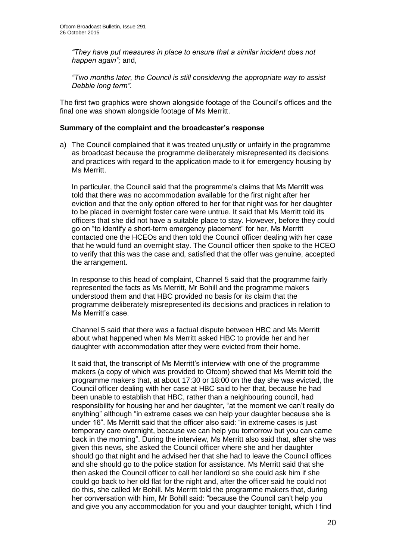*"They have put measures in place to ensure that a similar incident does not happen again";* and,

*"Two months later, the Council is still considering the appropriate way to assist Debbie long term".*

The first two graphics were shown alongside footage of the Council's offices and the final one was shown alongside footage of Ms Merritt.

#### **Summary of the complaint and the broadcaster's response**

a) The Council complained that it was treated unjustly or unfairly in the programme as broadcast because the programme deliberately misrepresented its decisions and practices with regard to the application made to it for emergency housing by Ms Merritt.

In particular, the Council said that the programme's claims that Ms Merritt was told that there was no accommodation available for the first night after her eviction and that the only option offered to her for that night was for her daughter to be placed in overnight foster care were untrue. It said that Ms Merritt told its officers that she did not have a suitable place to stay. However, before they could go on "to identify a short-term emergency placement" for her, Ms Merritt contacted one the HCEOs and then told the Council officer dealing with her case that he would fund an overnight stay. The Council officer then spoke to the HCEO to verify that this was the case and, satisfied that the offer was genuine, accepted the arrangement.

In response to this head of complaint, Channel 5 said that the programme fairly represented the facts as Ms Merritt, Mr Bohill and the programme makers understood them and that HBC provided no basis for its claim that the programme deliberately misrepresented its decisions and practices in relation to Ms Merritt's case.

Channel 5 said that there was a factual dispute between HBC and Ms Merritt about what happened when Ms Merritt asked HBC to provide her and her daughter with accommodation after they were evicted from their home.

It said that, the transcript of Ms Merritt's interview with one of the programme makers (a copy of which was provided to Ofcom) showed that Ms Merritt told the programme makers that, at about 17:30 or 18:00 on the day she was evicted, the Council officer dealing with her case at HBC said to her that, because he had been unable to establish that HBC, rather than a neighbouring council, had responsibility for housing her and her daughter, "at the moment we can't really do anything" although "in extreme cases we can help your daughter because she is under 16". Ms Merritt said that the officer also said: "in extreme cases is just temporary care overnight, because we can help you tomorrow but you can came back in the morning". During the interview, Ms Merritt also said that, after she was given this news, she asked the Council officer where she and her daughter should go that night and he advised her that she had to leave the Council offices and she should go to the police station for assistance. Ms Merritt said that she then asked the Council officer to call her landlord so she could ask him if she could go back to her old flat for the night and, after the officer said he could not do this, she called Mr Bohill. Ms Merritt told the programme makers that, during her conversation with him, Mr Bohill said: "because the Council can't help you and give you any accommodation for you and your daughter tonight, which I find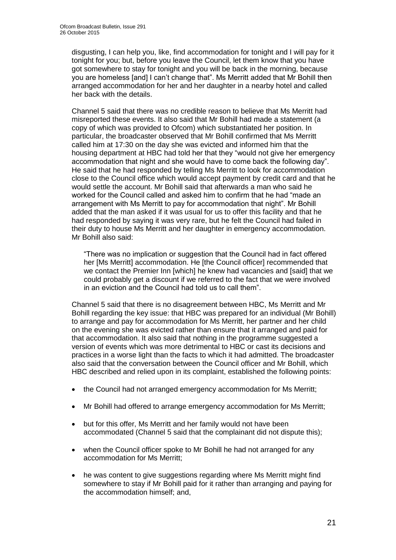disgusting, I can help you, like, find accommodation for tonight and I will pay for it tonight for you; but, before you leave the Council, let them know that you have got somewhere to stay for tonight and you will be back in the morning, because you are homeless [and] I can't change that". Ms Merritt added that Mr Bohill then arranged accommodation for her and her daughter in a nearby hotel and called her back with the details.

Channel 5 said that there was no credible reason to believe that Ms Merritt had misreported these events. It also said that Mr Bohill had made a statement (a copy of which was provided to Ofcom) which substantiated her position. In particular, the broadcaster observed that Mr Bohill confirmed that Ms Merritt called him at 17:30 on the day she was evicted and informed him that the housing department at HBC had told her that they "would not give her emergency accommodation that night and she would have to come back the following day". He said that he had responded by telling Ms Merritt to look for accommodation close to the Council office which would accept payment by credit card and that he would settle the account. Mr Bohill said that afterwards a man who said he worked for the Council called and asked him to confirm that he had "made an arrangement with Ms Merritt to pay for accommodation that night". Mr Bohill added that the man asked if it was usual for us to offer this facility and that he had responded by saying it was very rare, but he felt the Council had failed in their duty to house Ms Merritt and her daughter in emergency accommodation. Mr Bohill also said:

"There was no implication or suggestion that the Council had in fact offered her [Ms Merritt] accommodation. He [the Council officer] recommended that we contact the Premier Inn [which] he knew had vacancies and [said] that we could probably get a discount if we referred to the fact that we were involved in an eviction and the Council had told us to call them".

Channel 5 said that there is no disagreement between HBC, Ms Merritt and Mr Bohill regarding the key issue: that HBC was prepared for an individual (Mr Bohill) to arrange and pay for accommodation for Ms Merritt, her partner and her child on the evening she was evicted rather than ensure that it arranged and paid for that accommodation. It also said that nothing in the programme suggested a version of events which was more detrimental to HBC or cast its decisions and practices in a worse light than the facts to which it had admitted. The broadcaster also said that the conversation between the Council officer and Mr Bohill, which HBC described and relied upon in its complaint, established the following points:

- the Council had not arranged emergency accommodation for Ms Merritt;
- Mr Bohill had offered to arrange emergency accommodation for Ms Merritt;
- but for this offer, Ms Merritt and her family would not have been accommodated (Channel 5 said that the complainant did not dispute this);
- when the Council officer spoke to Mr Bohill he had not arranged for any accommodation for Ms Merritt;
- he was content to give suggestions regarding where Ms Merritt might find somewhere to stay if Mr Bohill paid for it rather than arranging and paying for the accommodation himself; and,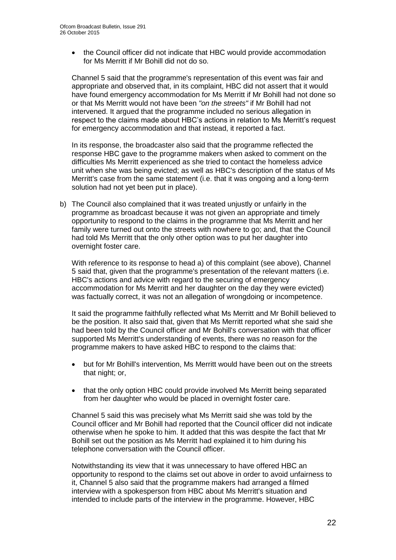the Council officer did not indicate that HBC would provide accommodation for Ms Merritt if Mr Bohill did not do so.

Channel 5 said that the programme's representation of this event was fair and appropriate and observed that, in its complaint, HBC did not assert that it would have found emergency accommodation for Ms Merritt if Mr Bohill had not done so or that Ms Merritt would not have been *"on the streets"* if Mr Bohill had not intervened. It argued that the programme included no serious allegation in respect to the claims made about HBC's actions in relation to Ms Merritt's request for emergency accommodation and that instead, it reported a fact.

In its response, the broadcaster also said that the programme reflected the response HBC gave to the programme makers when asked to comment on the difficulties Ms Merritt experienced as she tried to contact the homeless advice unit when she was being evicted; as well as HBC's description of the status of Ms Merritt's case from the same statement (i.e. that it was ongoing and a long-term solution had not yet been put in place).

b) The Council also complained that it was treated unjustly or unfairly in the programme as broadcast because it was not given an appropriate and timely opportunity to respond to the claims in the programme that Ms Merritt and her family were turned out onto the streets with nowhere to go; and, that the Council had told Ms Merritt that the only other option was to put her daughter into overnight foster care.

With reference to its response to head a) of this complaint (see above), Channel 5 said that, given that the programme's presentation of the relevant matters (i.e. HBC's actions and advice with regard to the securing of emergency accommodation for Ms Merritt and her daughter on the day they were evicted) was factually correct, it was not an allegation of wrongdoing or incompetence.

It said the programme faithfully reflected what Ms Merritt and Mr Bohill believed to be the position. It also said that, given that Ms Merritt reported what she said she had been told by the Council officer and Mr Bohill's conversation with that officer supported Ms Merritt's understanding of events, there was no reason for the programme makers to have asked HBC to respond to the claims that:

- but for Mr Bohill's intervention, Ms Merritt would have been out on the streets that night; or,
- that the only option HBC could provide involved Ms Merritt being separated from her daughter who would be placed in overnight foster care.

Channel 5 said this was precisely what Ms Merritt said she was told by the Council officer and Mr Bohill had reported that the Council officer did not indicate otherwise when he spoke to him. It added that this was despite the fact that Mr Bohill set out the position as Ms Merritt had explained it to him during his telephone conversation with the Council officer.

Notwithstanding its view that it was unnecessary to have offered HBC an opportunity to respond to the claims set out above in order to avoid unfairness to it, Channel 5 also said that the programme makers had arranged a filmed interview with a spokesperson from HBC about Ms Merritt's situation and intended to include parts of the interview in the programme. However, HBC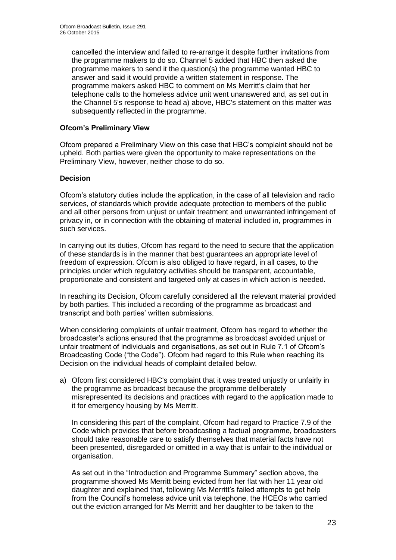cancelled the interview and failed to re-arrange it despite further invitations from the programme makers to do so. Channel 5 added that HBC then asked the programme makers to send it the question(s) the programme wanted HBC to answer and said it would provide a written statement in response. The programme makers asked HBC to comment on Ms Merritt's claim that her telephone calls to the homeless advice unit went unanswered and, as set out in the Channel 5's response to head a) above, HBC's statement on this matter was subsequently reflected in the programme.

#### **Ofcom's Preliminary View**

Ofcom prepared a Preliminary View on this case that HBC's complaint should not be upheld. Both parties were given the opportunity to make representations on the Preliminary View, however, neither chose to do so.

#### **Decision**

Ofcom's statutory duties include the application, in the case of all television and radio services, of standards which provide adequate protection to members of the public and all other persons from unjust or unfair treatment and unwarranted infringement of privacy in, or in connection with the obtaining of material included in, programmes in such services.

In carrying out its duties, Ofcom has regard to the need to secure that the application of these standards is in the manner that best guarantees an appropriate level of freedom of expression. Ofcom is also obliged to have regard, in all cases, to the principles under which regulatory activities should be transparent, accountable, proportionate and consistent and targeted only at cases in which action is needed.

In reaching its Decision, Ofcom carefully considered all the relevant material provided by both parties. This included a recording of the programme as broadcast and transcript and both parties' written submissions.

When considering complaints of unfair treatment, Ofcom has regard to whether the broadcaster's actions ensured that the programme as broadcast avoided unjust or unfair treatment of individuals and organisations, as set out in Rule 7.1 of Ofcom's Broadcasting Code ("the Code"). Ofcom had regard to this Rule when reaching its Decision on the individual heads of complaint detailed below.

a) Ofcom first considered HBC's complaint that it was treated unjustly or unfairly in the programme as broadcast because the programme deliberately misrepresented its decisions and practices with regard to the application made to it for emergency housing by Ms Merritt.

In considering this part of the complaint, Ofcom had regard to Practice 7.9 of the Code which provides that before broadcasting a factual programme, broadcasters should take reasonable care to satisfy themselves that material facts have not been presented, disregarded or omitted in a way that is unfair to the individual or organisation.

As set out in the "Introduction and Programme Summary" section above, the programme showed Ms Merritt being evicted from her flat with her 11 year old daughter and explained that, following Ms Merritt's failed attempts to get help from the Council's homeless advice unit via telephone, the HCEOs who carried out the eviction arranged for Ms Merritt and her daughter to be taken to the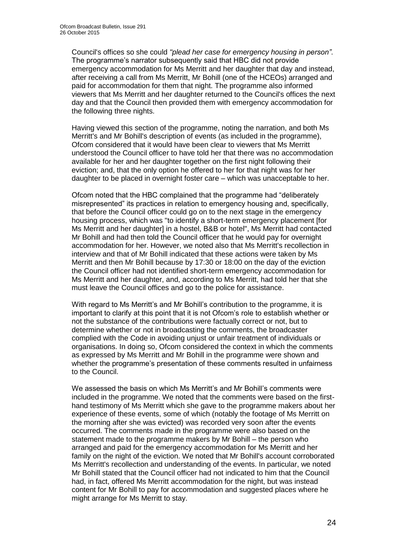Council's offices so she could *"plead her case for emergency housing in person"*. The programme's narrator subsequently said that HBC did not provide emergency accommodation for Ms Merritt and her daughter that day and instead, after receiving a call from Ms Merritt, Mr Bohill (one of the HCEOs) arranged and paid for accommodation for them that night. The programme also informed viewers that Ms Merritt and her daughter returned to the Council's offices the next day and that the Council then provided them with emergency accommodation for the following three nights.

Having viewed this section of the programme, noting the narration, and both Ms Merritt's and Mr Bohill's description of events (as included in the programme), Ofcom considered that it would have been clear to viewers that Ms Merritt understood the Council officer to have told her that there was no accommodation available for her and her daughter together on the first night following their eviction; and, that the only option he offered to her for that night was for her daughter to be placed in overnight foster care – which was unacceptable to her.

Ofcom noted that the HBC complained that the programme had "deliberately misrepresented" its practices in relation to emergency housing and, specifically, that before the Council officer could go on to the next stage in the emergency housing process, which was "to identify a short-term emergency placement [for Ms Merritt and her daughter] in a hostel, B&B or hotel", Ms Merritt had contacted Mr Bohill and had then told the Council officer that he would pay for overnight accommodation for her. However, we noted also that Ms Merritt's recollection in interview and that of Mr Bohill indicated that these actions were taken by Ms Merritt and then Mr Bohill because by 17:30 or 18:00 on the day of the eviction the Council officer had not identified short-term emergency accommodation for Ms Merritt and her daughter, and, according to Ms Merritt, had told her that she must leave the Council offices and go to the police for assistance.

With regard to Ms Merritt's and Mr Bohill's contribution to the programme, it is important to clarify at this point that it is not Ofcom's role to establish whether or not the substance of the contributions were factually correct or not, but to determine whether or not in broadcasting the comments, the broadcaster complied with the Code in avoiding unjust or unfair treatment of individuals or organisations. In doing so, Ofcom considered the context in which the comments as expressed by Ms Merritt and Mr Bohill in the programme were shown and whether the programme's presentation of these comments resulted in unfairness to the Council.

We assessed the basis on which Ms Merritt's and Mr Bohill's comments were included in the programme. We noted that the comments were based on the firsthand testimony of Ms Merritt which she gave to the programme makers about her experience of these events, some of which (notably the footage of Ms Merritt on the morning after she was evicted) was recorded very soon after the events occurred. The comments made in the programme were also based on the statement made to the programme makers by Mr Bohill – the person who arranged and paid for the emergency accommodation for Ms Merritt and her family on the night of the eviction. We noted that Mr Bohill's account corroborated Ms Merritt's recollection and understanding of the events. In particular, we noted Mr Bohill stated that the Council officer had not indicated to him that the Council had, in fact, offered Ms Merritt accommodation for the night, but was instead content for Mr Bohill to pay for accommodation and suggested places where he might arrange for Ms Merritt to stay.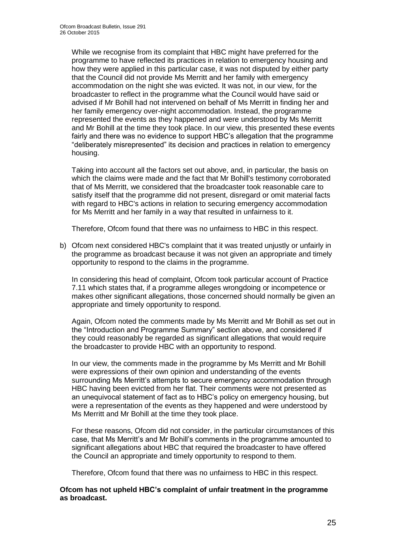While we recognise from its complaint that HBC might have preferred for the programme to have reflected its practices in relation to emergency housing and how they were applied in this particular case, it was not disputed by either party that the Council did not provide Ms Merritt and her family with emergency accommodation on the night she was evicted. It was not, in our view, for the broadcaster to reflect in the programme what the Council would have said or advised if Mr Bohill had not intervened on behalf of Ms Merritt in finding her and her family emergency over-night accommodation. Instead, the programme represented the events as they happened and were understood by Ms Merritt and Mr Bohill at the time they took place. In our view, this presented these events fairly and there was no evidence to support HBC's allegation that the programme "deliberately misrepresented" its decision and practices in relation to emergency housing.

Taking into account all the factors set out above, and, in particular, the basis on which the claims were made and the fact that Mr Bohill's testimony corroborated that of Ms Merritt, we considered that the broadcaster took reasonable care to satisfy itself that the programme did not present, disregard or omit material facts with regard to HBC's actions in relation to securing emergency accommodation for Ms Merritt and her family in a way that resulted in unfairness to it.

Therefore, Ofcom found that there was no unfairness to HBC in this respect.

b) Ofcom next considered HBC's complaint that it was treated unjustly or unfairly in the programme as broadcast because it was not given an appropriate and timely opportunity to respond to the claims in the programme.

In considering this head of complaint, Ofcom took particular account of Practice 7.11 which states that, if a programme alleges wrongdoing or incompetence or makes other significant allegations, those concerned should normally be given an appropriate and timely opportunity to respond.

Again, Ofcom noted the comments made by Ms Merritt and Mr Bohill as set out in the "Introduction and Programme Summary" section above, and considered if they could reasonably be regarded as significant allegations that would require the broadcaster to provide HBC with an opportunity to respond.

In our view, the comments made in the programme by Ms Merritt and Mr Bohill were expressions of their own opinion and understanding of the events surrounding Ms Merritt's attempts to secure emergency accommodation through HBC having been evicted from her flat. Their comments were not presented as an unequivocal statement of fact as to HBC's policy on emergency housing, but were a representation of the events as they happened and were understood by Ms Merritt and Mr Bohill at the time they took place.

For these reasons, Ofcom did not consider, in the particular circumstances of this case, that Ms Merritt's and Mr Bohill's comments in the programme amounted to significant allegations about HBC that required the broadcaster to have offered the Council an appropriate and timely opportunity to respond to them.

Therefore, Ofcom found that there was no unfairness to HBC in this respect.

#### **Ofcom has not upheld HBC's complaint of unfair treatment in the programme as broadcast.**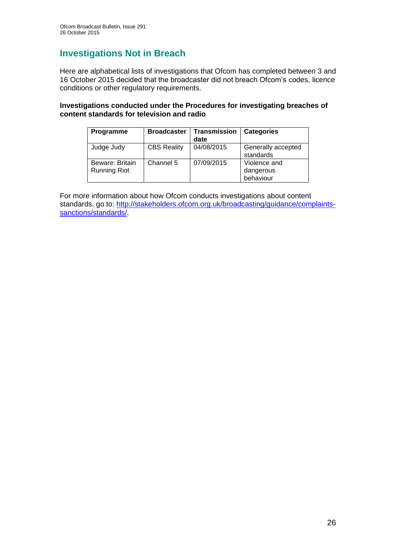## **Investigations Not in Breach**

Here are alphabetical lists of investigations that Ofcom has completed between 3 and 16 October 2015 decided that the broadcaster did not breach Ofcom's codes, licence conditions or other regulatory requirements.

#### **Investigations conducted under the Procedures for investigating breaches of content standards for television and radio**

| Programme                              | <b>Broadcaster</b> | Transmission<br>date | <b>Categories</b>                      |
|----------------------------------------|--------------------|----------------------|----------------------------------------|
| Judge Judy                             | <b>CBS Reality</b> | 04/08/2015           | Generally accepted<br>standards        |
| Beware: Britain<br><b>Running Riot</b> | Channel 5          | 07/09/2015           | Violence and<br>dangerous<br>behaviour |

For more information about how Ofcom conducts investigations about content standards, go to: [http://stakeholders.ofcom.org.uk/broadcasting/guidance/complaints](http://stakeholders.ofcom.org.uk/broadcasting/guidance/complaints-sanctions/standards/)[sanctions/standards/.](http://stakeholders.ofcom.org.uk/broadcasting/guidance/complaints-sanctions/standards/)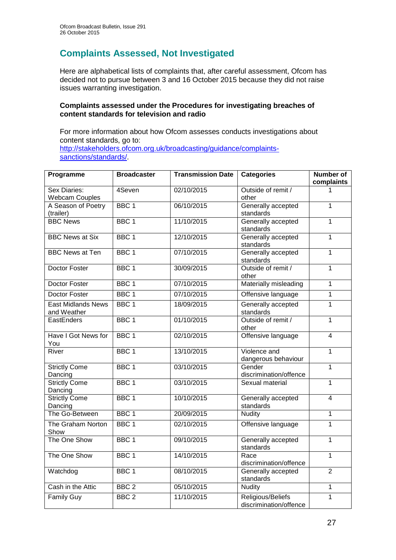## **Complaints Assessed, Not Investigated**

Here are alphabetical lists of complaints that, after careful assessment, Ofcom has decided not to pursue between 3 and 16 October 2015 because they did not raise issues warranting investigation.

#### **Complaints assessed under the Procedures for investigating breaches of content standards for television and radio**

For more information about how Ofcom assesses conducts investigations about content standards, go to: [http://stakeholders.ofcom.org.uk/broadcasting/guidance/complaints](http://stakeholders.ofcom.org.uk/broadcasting/guidance/complaints-sanctions/standards/)sanctions/standards/

| Programme                                | <b>Broadcaster</b> | <b>Transmission Date</b> | <b>Categories</b>                           | <b>Number of</b><br>complaints |
|------------------------------------------|--------------------|--------------------------|---------------------------------------------|--------------------------------|
| Sex Diaries:<br><b>Webcam Couples</b>    | 4Seven             | 02/10/2015               | Outside of remit /<br>other                 |                                |
| A Season of Poetry<br>(trailer)          | BBC <sub>1</sub>   | 06/10/2015               | Generally accepted<br>standards             | $\overline{1}$                 |
| <b>BBC News</b>                          | BBC <sub>1</sub>   | 11/10/2015               | Generally accepted<br>standards             | $\mathbf{1}$                   |
| <b>BBC News at Six</b>                   | BBC <sub>1</sub>   | 12/10/2015               | Generally accepted<br>standards             | $\mathbf{1}$                   |
| <b>BBC News at Ten</b>                   | BBC <sub>1</sub>   | 07/10/2015               | Generally accepted<br>standards             | $\overline{1}$                 |
| Doctor Foster                            | BBC <sub>1</sub>   | 30/09/2015               | Outside of remit /<br>other                 | $\overline{1}$                 |
| Doctor Foster                            | BBC <sub>1</sub>   | 07/10/2015               | Materially misleading                       | $\mathbf{1}$                   |
| Doctor Foster                            | BBC <sub>1</sub>   | 07/10/2015               | Offensive language                          | $\overline{1}$                 |
| <b>East Midlands News</b><br>and Weather | BBC <sub>1</sub>   | 18/09/2015               | Generally accepted<br>standards             | $\overline{1}$                 |
| EastEnders                               | BBC <sub>1</sub>   | 01/10/2015               | Outside of remit /<br>other                 | 1                              |
| Have I Got News for<br>You               | BBC <sub>1</sub>   | 02/10/2015               | Offensive language                          | $\overline{4}$                 |
| River                                    | BBC <sub>1</sub>   | 13/10/2015               | Violence and<br>dangerous behaviour         | $\mathbf{1}$                   |
| <b>Strictly Come</b><br>Dancing          | BBC <sub>1</sub>   | 03/10/2015               | Gender<br>discrimination/offence            | $\overline{1}$                 |
| <b>Strictly Come</b><br>Dancing          | BBC <sub>1</sub>   | 03/10/2015               | Sexual material                             | $\mathbf{1}$                   |
| <b>Strictly Come</b><br>Dancing          | BBC <sub>1</sub>   | 10/10/2015               | Generally accepted<br>standards             | $\overline{4}$                 |
| The Go-Between                           | BBC <sub>1</sub>   | 20/09/2015               | <b>Nudity</b>                               | $\overline{1}$                 |
| The Graham Norton<br>Show                | BBC <sub>1</sub>   | 02/10/2015               | Offensive language                          | $\mathbf{1}$                   |
| The One Show                             | BBC <sub>1</sub>   | 09/10/2015               | Generally accepted<br>standards             | $\overline{1}$                 |
| The One Show                             | BBC <sub>1</sub>   | 14/10/2015               | Race<br>discrimination/offence              | $\mathbf{1}$                   |
| Watchdog                                 | BBC <sub>1</sub>   | 08/10/2015               | Generally accepted<br>standards             | $\overline{2}$                 |
| Cash in the Attic                        | BBC <sub>2</sub>   | 05/10/2015               | Nudity                                      | $\mathbf{1}$                   |
| <b>Family Guy</b>                        | BBC <sub>2</sub>   | 11/10/2015               | Religious/Beliefs<br>discrimination/offence | $\overline{1}$                 |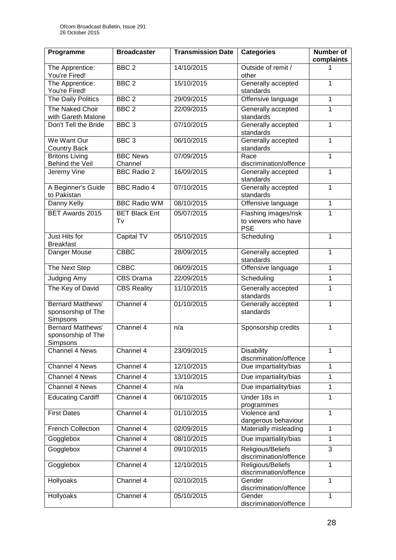| Programme                                                         | <b>Broadcaster</b>         | <b>Transmission Date</b> | <b>Categories</b>                                         | Number of<br>complaints |
|-------------------------------------------------------------------|----------------------------|--------------------------|-----------------------------------------------------------|-------------------------|
| The Apprentice:<br>You're Fired!                                  | BBC <sub>2</sub>           | 14/10/2015               | Outside of remit /<br>other                               | 1                       |
| The Apprentice:<br>You're Fired!                                  | BBC <sub>2</sub>           | 15/10/2015               | Generally accepted<br>standards                           | 1                       |
| The Daily Politics                                                | BBC <sub>2</sub>           | 29/09/2015               | Offensive language                                        | 1                       |
| The Naked Choir<br>with Gareth Malone                             | BBC <sub>2</sub>           | 22/09/2015               | Generally accepted<br>standards                           | 1                       |
| Don't Tell the Bride                                              | BBC <sub>3</sub>           | 07/10/2015               | Generally accepted<br>standards                           | 1                       |
| We Want Our<br><b>Country Back</b>                                | BBC <sub>3</sub>           | 06/10/2015               | Generally accepted<br>standards                           | 1                       |
| <b>Britons Living</b><br>Behind the Veil                          | <b>BBC News</b><br>Channel | 07/09/2015               | Race<br>discrimination/offence                            | 1                       |
| Jeremy Vine                                                       | <b>BBC Radio 2</b>         | 16/09/2015               | Generally accepted<br>standards                           | 1                       |
| A Beginner's Guide<br>to Pakistan                                 | <b>BBC Radio 4</b>         | 07/10/2015               | Generally accepted<br>standards                           | 1                       |
| Danny Kelly                                                       | <b>BBC Radio WM</b>        | 08/10/2015               | Offensive language                                        | 1                       |
| BET Awards 2015                                                   | <b>BET Black Ent</b><br>Tv | 05/07/2015               | Flashing images/risk<br>to viewers who have<br><b>PSE</b> | 1                       |
| Just Hits for<br><b>Breakfast</b>                                 | Capital TV                 | 05/10/2015               | Scheduling                                                | 1                       |
| Danger Mouse                                                      | <b>CBBC</b>                | 28/09/2015               | Generally accepted<br>standards                           | 1                       |
| The Next Step                                                     | <b>CBBC</b>                | 06/09/2015               | Offensive language                                        | 1                       |
| Judging Amy                                                       | CBS Drama                  | 22/09/2015               | Scheduling                                                | 1                       |
| The Key of David                                                  | <b>CBS Reality</b>         | 11/10/2015               | Generally accepted<br>standards                           | 1                       |
| <b>Bernard Matthews'</b><br>sponsorship of The<br>Simpsons        | Channel 4                  | 01/10/2015               | Generally accepted<br>standards                           | 1                       |
| <b>Bernard Matthews'</b><br>sponsorship of The<br><b>Simpsons</b> | Channel 4                  | n/a                      | Sponsorship credits                                       | 1                       |
| Channel 4 News                                                    | Channel 4                  | 23/09/2015               | <b>Disability</b><br>discrimination/offence               | 1                       |
| Channel 4 News                                                    | Channel 4                  | 12/10/2015               | Due impartiality/bias                                     | 1                       |
| Channel 4 News                                                    | Channel 4                  | 13/10/2015               | Due impartiality/bias                                     | 1                       |
| Channel 4 News                                                    | Channel 4                  | n/a                      | Due impartiality/bias                                     | 1                       |
| <b>Educating Cardiff</b>                                          | Channel 4                  | 06/10/2015               | Under 18s in<br>programmes                                | 1                       |
| <b>First Dates</b>                                                | Channel 4                  | 01/10/2015               | Violence and<br>dangerous behaviour                       | 1                       |
| <b>French Collection</b>                                          | Channel 4                  | 02/09/2015               | Materially misleading                                     | 1                       |
| Gogglebox                                                         | Channel 4                  | 08/10/2015               | Due impartiality/bias                                     | 1                       |
| Gogglebox                                                         | Channel 4                  | 09/10/2015               | Religious/Beliefs<br>discrimination/offence               | 3                       |
| Gogglebox                                                         | Channel 4                  | 12/10/2015               | Religious/Beliefs<br>discrimination/offence               | 1                       |
| Hollyoaks                                                         | Channel 4                  | 02/10/2015               | Gender<br>discrimination/offence                          | 1                       |
| Hollyoaks                                                         | Channel 4                  | 05/10/2015               | Gender<br>discrimination/offence                          | 1                       |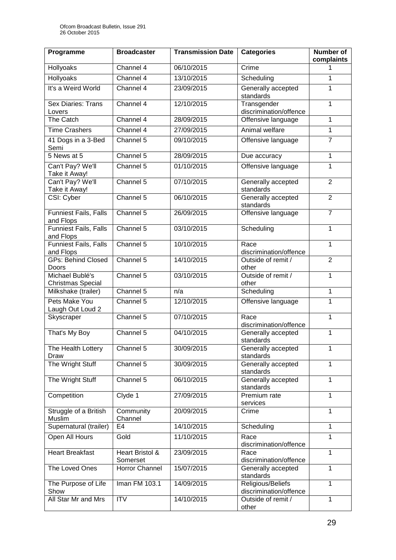| Programme                                   | <b>Broadcaster</b>          | <b>Transmission Date</b> | <b>Categories</b>                           | <b>Number of</b> |
|---------------------------------------------|-----------------------------|--------------------------|---------------------------------------------|------------------|
| Hollyoaks                                   | Channel $4$                 | 06/10/2015               | Crime                                       | complaints<br>1  |
|                                             | Channel 4                   | 13/10/2015               |                                             | 1                |
| <b>Hollyoaks</b>                            |                             |                          | Scheduling                                  |                  |
| It's a Weird World                          | Channel 4                   | 23/09/2015               | Generally accepted<br>standards             | 1                |
| <b>Sex Diaries: Trans</b><br>Lovers         | Channel 4                   | 12/10/2015               | Transgender<br>discrimination/offence       | $\mathbf{1}$     |
| The Catch                                   | Channel 4                   | 28/09/2015               | Offensive language                          | 1                |
| <b>Time Crashers</b>                        | Channel 4                   | 27/09/2015               | Animal welfare                              | $\mathbf 1$      |
| 41 Dogs in a 3-Bed<br>Semi                  | Channel 5                   | 09/10/2015               | Offensive language                          | $\overline{7}$   |
| 5 News at 5                                 | Channel 5                   | 28/09/2015               | Due accuracy                                | 1                |
| Can't Pay? We'll<br>Take it Away!           | Channel 5                   | 01/10/2015               | Offensive language                          | 1                |
| Can't Pay? We'll<br>Take it Away!           | Channel 5                   | 07/10/2015               | Generally accepted<br>standards             | $\overline{2}$   |
| CSI: Cyber                                  | Channel 5                   | 06/10/2015               | Generally accepted<br>standards             | $\overline{2}$   |
| Funniest Fails, Falls<br>and Flops          | Channel 5                   | 26/09/2015               | Offensive language                          | $\overline{7}$   |
| Funniest Fails, Falls<br>and Flops          | Channel 5                   | 03/10/2015               | Scheduling                                  | $\mathbf 1$      |
| Funniest Fails, Falls<br>and Flops          | Channel 5                   | 10/10/2015               | Race<br>discrimination/offence              | 1                |
| <b>GPs: Behind Closed</b><br>Doors          | Channel 5                   | 14/10/2015               | Outside of remit /<br>other                 | $\overline{2}$   |
| Michael Bublé's<br><b>Christmas Special</b> | Channel 5                   | 03/10/2015               | Outside of remit /<br>other                 | 1                |
| Milkshake (trailer)                         | Channel 5                   | n/a                      | Scheduling                                  | 1                |
| Pets Make You<br>Laugh Out Loud 2           | Channel 5                   | 12/10/2015               | Offensive language                          | 1                |
| Skyscraper                                  | Channel 5                   | 07/10/2015               | Race<br>discrimination/offence              | 1                |
| That's My Boy                               | Channel 5                   | 04/10/2015               | Generally accepted<br>standards             | 1                |
| The Health Lottery<br>Draw                  | Channel 5                   | 30/09/2015               | Generally accepted<br>standards             | 1                |
| The Wright Stuff                            | Channel 5                   | 30/09/2015               | Generally accepted<br>standards             | 1                |
| The Wright Stuff                            | Channel 5                   | 06/10/2015               | Generally accepted<br>standards             | 1                |
| Competition                                 | Clyde 1                     | 27/09/2015               | Premium rate<br>services                    | 1                |
| Struggle of a British<br>Muslim             | Community<br>Channel        | 20/09/2015               | Crime                                       | 1                |
| Supernatural (trailer)                      | E <sub>4</sub>              | 14/10/2015               | Scheduling                                  | 1                |
| Open All Hours                              | Gold                        | 11/10/2015               | Race<br>discrimination/offence              | 1                |
| <b>Heart Breakfast</b>                      | Heart Bristol &<br>Somerset | 23/09/2015               | Race<br>discrimination/offence              | $\mathbf 1$      |
| The Loved Ones                              | Horror Channel              | 15/07/2015               | Generally accepted<br>standards             | 1                |
| The Purpose of Life<br>Show                 | Iman FM 103.1               | 14/09/2015               | Religious/Beliefs<br>discrimination/offence | 1                |
| All Star Mr and Mrs                         | <b>ITV</b>                  | 14/10/2015               | Outside of remit /<br>other                 | 1                |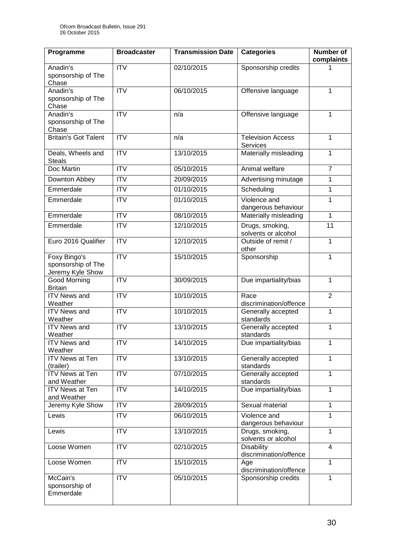| Programme                                              | <b>Broadcaster</b>      | <b>Transmission Date</b> | <b>Categories</b>                           | <b>Number of</b><br>complaints |
|--------------------------------------------------------|-------------------------|--------------------------|---------------------------------------------|--------------------------------|
| Anadin's<br>sponsorship of The<br>Chase                | $\overline{ITV}$        | 02/10/2015               | Sponsorship credits                         |                                |
| Anadin's<br>sponsorship of The<br>Chase                | $\overline{ITV}$        | 06/10/2015               | Offensive language                          | 1                              |
| Anadin's<br>sponsorship of The<br>Chase                | $\overline{\text{ITV}}$ | n/a                      | Offensive language                          | 1                              |
| <b>Britain's Got Talent</b>                            | $\overline{ITV}$        | n/a                      | <b>Television Access</b><br>Services        | $\mathbf 1$                    |
| Deals, Wheels and<br><b>Steals</b>                     | $\overline{ITV}$        | 13/10/2015               | Materially misleading                       | 1                              |
| Doc Martin                                             | $\overline{IV}$         | 05/10/2015               | Animal welfare                              | $\overline{7}$                 |
| Downton Abbey                                          | <b>ITV</b>              | 20/09/2015               | Advertising minutage                        | 1                              |
| Emmerdale                                              | $\overline{ITV}$        | 01/10/2015               | Scheduling                                  | 1                              |
| Emmerdale                                              | <b>ITV</b>              | 01/10/2015               | Violence and<br>dangerous behaviour         | 1                              |
| Emmerdale                                              | $\overline{IV}$         | 08/10/2015               | Materially misleading                       | 1                              |
| Emmerdale                                              | $\overline{ITV}$        | 12/10/2015               | Drugs, smoking,<br>solvents or alcohol      | $\overline{11}$                |
| Euro 2016 Qualifier                                    | $\overline{IV}$         | 12/10/2015               | Outside of remit /<br>other                 | 1                              |
| Foxy Bingo's<br>sponsorship of The<br>Jeremy Kyle Show | $\overline{ITV}$        | 15/10/2015               | Sponsorship                                 | 1                              |
| Good Morning<br><b>Britain</b>                         | <b>ITV</b>              | 30/09/2015               | Due impartiality/bias                       | $\mathbf{1}$                   |
| <b>ITV News and</b><br>Weather                         | <b>ITV</b>              | 10/10/2015               | Race<br>discrimination/offence              | $\overline{2}$                 |
| <b>ITV News and</b><br>Weather                         | <b>ITV</b>              | 10/10/2015               | Generally accepted<br>standards             | 1                              |
| <b>ITV News and</b><br>Weather                         | $\overline{ITV}$        | 13/10/2015               | Generally accepted<br>standards             | 1                              |
| <b>ITV News and</b><br>Weather                         | <b>ITV</b>              | 14/10/2015               | Due impartiality/bias                       | 1                              |
| <b>ITV News at Ten</b><br>(trailer)                    | <b>ITV</b>              | 13/10/2015               | Generally accepted<br>standards             | 1                              |
| <b>ITV News at Ten</b><br>and Weather                  | $\overline{\text{ITV}}$ | 07/10/2015               | Generally accepted<br>standards             | 1                              |
| <b>ITV News at Ten</b><br>and Weather                  | <b>ITV</b>              | 14/10/2015               | Due impartiality/bias                       | 1                              |
| Jeremy Kyle Show                                       | <b>ITV</b>              | 28/09/2015               | Sexual material                             | 1                              |
| Lewis                                                  | <b>ITV</b>              | 06/10/2015               | Violence and<br>dangerous behaviour         | 1                              |
| Lewis                                                  | <b>ITV</b>              | 13/10/2015               | Drugs, smoking,<br>solvents or alcohol      | $\mathbf{1}$                   |
| Loose Women                                            | <b>ITV</b>              | 02/10/2015               | <b>Disability</b><br>discrimination/offence | 4                              |
| Loose Women                                            | <b>ITV</b>              | 15/10/2015               | Age<br>discrimination/offence               | 1                              |
| McCain's<br>sponsorship of<br>Emmerdale                | <b>ITV</b>              | 05/10/2015               | Sponsorship credits                         | 1                              |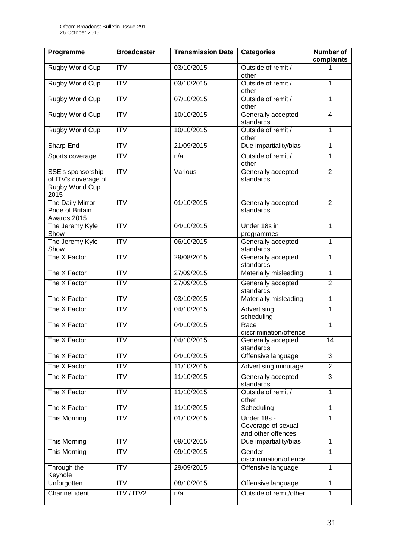| Programme                                                            | <b>Broadcaster</b>      | <b>Transmission Date</b> | <b>Categories</b>                                       | <b>Number of</b><br>complaints |
|----------------------------------------------------------------------|-------------------------|--------------------------|---------------------------------------------------------|--------------------------------|
| Rugby World Cup                                                      | <b>ITV</b>              | 03/10/2015               | Outside of remit /<br>other                             | 1                              |
| Rugby World Cup                                                      | <b>ITV</b>              | 03/10/2015               | Outside of remit /<br>other                             | 1                              |
| <b>Rugby World Cup</b>                                               | $\overline{IV}$         | 07/10/2015               | Outside of remit /<br>other                             | 1                              |
| <b>Rugby World Cup</b>                                               | ITV                     | 10/10/2015               | Generally accepted<br>standards                         | $\overline{\mathbf{4}}$        |
| <b>Rugby World Cup</b>                                               | ITV                     | 10/10/2015               | Outside of remit /<br>other                             | 1                              |
| <b>Sharp End</b>                                                     | $\overline{IV}$         | 21/09/2015               | Due impartiality/bias                                   | $\overline{1}$                 |
| Sports coverage                                                      | <b>ITV</b>              | n/a                      | Outside of remit /<br>other                             | 1                              |
| SSE's sponsorship<br>of ITV's coverage of<br>Rugby World Cup<br>2015 | $\overline{IV}$         | Various                  | Generally accepted<br>standards                         | $\overline{2}$                 |
| The Daily Mirror<br>Pride of Britain<br>Awards 2015                  | <b>ITV</b>              | 01/10/2015               | Generally accepted<br>standards                         | $\overline{2}$                 |
| The Jeremy Kyle<br>Show                                              | <b>ITV</b>              | 04/10/2015               | Under 18s in<br>programmes                              | 1                              |
| The Jeremy Kyle<br>Show                                              | $\overline{IV}$         | 06/10/2015               | Generally accepted<br>standards                         | 1                              |
| The X Factor                                                         | <b>ITV</b>              | 29/08/2015               | Generally accepted<br>standards                         | 1                              |
| The X Factor                                                         | <b>ITV</b>              | 27/09/2015               | Materially misleading                                   | $\mathbf{1}$                   |
| The X Factor                                                         | <b>ITV</b>              | 27/09/2015               | Generally accepted<br>standards                         | $\overline{2}$                 |
| The X Factor                                                         | <b>ITV</b>              | 03/10/2015               | Materially misleading                                   | 1                              |
| The X Factor                                                         | $\overline{IV}$         | 04/10/2015               | Advertising<br>scheduling                               | 1                              |
| The X Factor                                                         | <b>ITV</b>              | 04/10/2015               | Race<br>discrimination/offence                          | 1                              |
| The X Factor                                                         | $\overline{IV}$         | 04/10/2015               | Generally accepted<br>standards                         | 14                             |
| The X Factor                                                         | <b>ITV</b>              | 04/10/2015               | Offensive language                                      | 3                              |
| The X Factor                                                         | <b>ITV</b>              | 11/10/2015               | Advertising minutage                                    | $\overline{2}$                 |
| The X Factor                                                         | $\overline{\text{ITV}}$ | 11/10/2015               | Generally accepted<br>standards                         | 3                              |
| The X Factor                                                         | <b>ITV</b>              | 11/10/2015               | Outside of remit /<br>other                             | 1                              |
| The X Factor                                                         | $\overline{IV}$         | 11/10/2015               | Scheduling                                              | 1                              |
| This Morning                                                         | <b>ITV</b>              | 01/10/2015               | Under 18s -<br>Coverage of sexual<br>and other offences | $\mathbf{1}$                   |
| This Morning                                                         | ITV                     | 09/10/2015               | Due impartiality/bias                                   | $\mathbf{1}$                   |
| This Morning                                                         | <b>ITV</b>              | 09/10/2015               | Gender<br>discrimination/offence                        | 1                              |
| Through the<br>Keyhole                                               | $\overline{IV}$         | 29/09/2015               | Offensive language                                      | $\overline{1}$                 |
| Unforgotten                                                          | <b>ITV</b>              | 08/10/2015               | Offensive language                                      | $\mathbf{1}$                   |
| Channel ident                                                        | <b>ITV/ITV2</b>         | n/a                      | Outside of remit/other                                  | 1                              |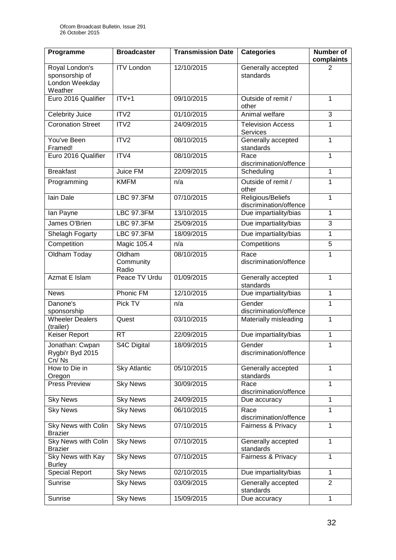| Programme                                                     | <b>Broadcaster</b>           | <b>Transmission Date</b> | <b>Categories</b>                           | <b>Number of</b><br>complaints |
|---------------------------------------------------------------|------------------------------|--------------------------|---------------------------------------------|--------------------------------|
| Royal London's<br>sponsorship of<br>London Weekday<br>Weather | <b>ITV London</b>            | 12/10/2015               | Generally accepted<br>standards             | 2                              |
| Euro 2016 Qualifier                                           | $ITV+1$                      | 09/10/2015               | Outside of remit /<br>other                 | 1                              |
| <b>Celebrity Juice</b>                                        | ITV <sub>2</sub>             | 01/10/2015               | Animal welfare                              | 3                              |
| <b>Coronation Street</b>                                      | ITV <sub>2</sub>             | 24/09/2015               | <b>Television Access</b><br><b>Services</b> | 1                              |
| You've Been<br>Framed!                                        | ITV2                         | 08/10/2015               | Generally accepted<br>standards             | 1                              |
| Euro 2016 Qualifier                                           | ITV4                         | 08/10/2015               | Race<br>discrimination/offence              | $\overline{1}$                 |
| <b>Breakfast</b>                                              | Juice FM                     | 22/09/2015               | Scheduling                                  | 1                              |
| Programming                                                   | <b>KMFM</b>                  | n/a                      | Outside of remit /<br>other                 | 1                              |
| lain Dale                                                     | <b>LBC 97.3FM</b>            | 07/10/2015               | Religious/Beliefs<br>discrimination/offence | 1                              |
| lan Payne                                                     | <b>LBC 97.3FM</b>            | 13/10/2015               | Due impartiality/bias                       | $\mathbf{1}$                   |
| James O'Brien                                                 | <b>LBC 97.3FM</b>            | 25/09/2015               | Due impartiality/bias                       | 3                              |
| Shelagh Fogarty                                               | <b>LBC 97.3FM</b>            | 18/09/2015               | Due impartiality/bias                       | 1                              |
| Competition                                                   | Magic 105.4                  | n/a                      | Competitions                                | 5                              |
| Oldham Today                                                  | Oldham<br>Community<br>Radio | 08/10/2015               | Race<br>discrimination/offence              | 1                              |
| <b>Azmat E Islam</b>                                          | Peace TV Urdu                | 01/09/2015               | Generally accepted<br>standards             | $\mathbf{1}$                   |
| <b>News</b>                                                   | <b>Phonic FM</b>             | 12/10/2015               | Due impartiality/bias                       | $\mathbf{1}$                   |
| Danone's<br>sponsorship                                       | Pick TV                      | n/a                      | Gender<br>discrimination/offence            | $\mathbf{1}$                   |
| <b>Wheeler Dealers</b><br>(trailer)                           | Quest                        | 03/10/2015               | Materially misleading                       | 1                              |
| Keiser Report                                                 | <b>RT</b>                    | 22/09/2015               | Due impartiality/bias                       | 1                              |
| Jonathan: Cwpan<br>Rygbi'r Byd 2015<br>Cn/Ns                  | <b>S4C Digital</b>           | 18/09/2015               | Gender<br>discrimination/offence            | 1                              |
| How to Die in<br>Oregon                                       | <b>Sky Atlantic</b>          | 05/10/2015               | Generally accepted<br>standards             | $\mathbf{1}$                   |
| <b>Press Preview</b>                                          | <b>Sky News</b>              | 30/09/2015               | Race<br>discrimination/offence              | 1                              |
| <b>Sky News</b>                                               | <b>Sky News</b>              | 24/09/2015               | Due accuracy                                | $\mathbf{1}$                   |
| <b>Sky News</b>                                               | <b>Sky News</b>              | 06/10/2015               | Race<br>discrimination/offence              | 1                              |
| <b>Sky News with Colin</b><br><b>Brazier</b>                  | <b>Sky News</b>              | 07/10/2015               | Fairness & Privacy                          | 1                              |
| <b>Sky News with Colin</b><br><b>Brazier</b>                  | <b>Sky News</b>              | 07/10/2015               | Generally accepted<br>standards             | 1                              |
| Sky News with Kay<br><b>Burley</b>                            | <b>Sky News</b>              | 07/10/2015               | Fairness & Privacy                          | 1                              |
| <b>Special Report</b>                                         | <b>Sky News</b>              | 02/10/2015               | Due impartiality/bias                       | $\mathbf{1}$                   |
| Sunrise                                                       | <b>Sky News</b>              | 03/09/2015               | Generally accepted<br>standards             | $\overline{2}$                 |
| Sunrise                                                       | Sky News                     | 15/09/2015               | Due accuracy                                | $\mathbf{1}$                   |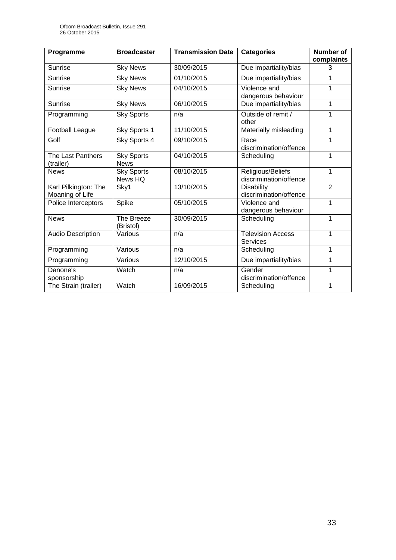| Programme                               | <b>Broadcaster</b>               | <b>Transmission Date</b> | <b>Categories</b>                           | <b>Number of</b><br>complaints |
|-----------------------------------------|----------------------------------|--------------------------|---------------------------------------------|--------------------------------|
| Sunrise                                 | <b>Sky News</b>                  | 30/09/2015               | Due impartiality/bias                       | 3                              |
| Sunrise                                 | <b>Sky News</b>                  | 01/10/2015               | Due impartiality/bias                       | 1                              |
| Sunrise                                 | <b>Sky News</b>                  | 04/10/2015               | Violence and<br>dangerous behaviour         | 1                              |
| Sunrise                                 | <b>Sky News</b>                  | 06/10/2015               | Due impartiality/bias                       | 1                              |
| Programming                             | <b>Sky Sports</b>                | n/a                      | Outside of remit /<br>other                 | 1                              |
| Football League                         | Sky Sports 1                     | 11/10/2015               | Materially misleading                       | 1                              |
| Golf                                    | Sky Sports 4                     | 09/10/2015               | Race<br>discrimination/offence              | 1                              |
| The Last Panthers<br>(trailer)          | <b>Sky Sports</b><br><b>News</b> | 04/10/2015               | Scheduling                                  | 1                              |
| <b>News</b>                             | <b>Sky Sports</b><br>News HQ     | 08/10/2015               | Religious/Beliefs<br>discrimination/offence | 1                              |
| Karl Pilkington: The<br>Moaning of Life | Sky1                             | 13/10/2015               | <b>Disability</b><br>discrimination/offence | $\overline{2}$                 |
| Police Interceptors                     | Spike                            | 05/10/2015               | Violence and<br>dangerous behaviour         | 1                              |
| <b>News</b>                             | The Breeze<br>(Bristol)          | 30/09/2015               | Scheduling                                  | 1                              |
| <b>Audio Description</b>                | Various                          | n/a                      | <b>Television Access</b><br><b>Services</b> | 1                              |
| Programming                             | Various                          | n/a                      | Scheduling                                  | 1                              |
| Programming                             | Various                          | 12/10/2015               | Due impartiality/bias                       | 1                              |
| Danone's<br>sponsorship                 | Watch                            | n/a                      | Gender<br>discrimination/offence            | 1                              |
| The Strain (trailer)                    | Watch                            | 16/09/2015               | Scheduling                                  | 1                              |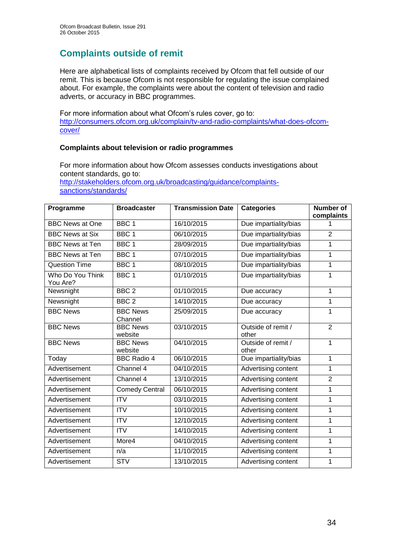## **Complaints outside of remit**

Here are alphabetical lists of complaints received by Ofcom that fell outside of our remit. This is because Ofcom is not responsible for regulating the issue complained about. For example, the complaints were about the content of television and radio adverts, or accuracy in BBC programmes.

For more information about what Ofcom's rules cover, go to: [http://consumers.ofcom.org.uk/complain/tv-and-radio-complaints/what-does-ofcom](http://consumers.ofcom.org.uk/complain/tv-and-radio-complaints/what-does-ofcom-cover/)[cover/](http://consumers.ofcom.org.uk/complain/tv-and-radio-complaints/what-does-ofcom-cover/)

#### **Complaints about television or radio programmes**

For more information about how Ofcom assesses conducts investigations about content standards, go to: [http://stakeholders.ofcom.org.uk/broadcasting/guidance/complaints](http://stakeholders.ofcom.org.uk/broadcasting/guidance/complaints-sanctions/standards/)[sanctions/standards/](http://stakeholders.ofcom.org.uk/broadcasting/guidance/complaints-sanctions/standards/)

| Programme                    | <b>Broadcaster</b>         | <b>Transmission Date</b> | <b>Categories</b>           | <b>Number of</b><br>complaints |
|------------------------------|----------------------------|--------------------------|-----------------------------|--------------------------------|
| <b>BBC News at One</b>       | BBC <sub>1</sub>           | 16/10/2015               | Due impartiality/bias       | 1                              |
| <b>BBC News at Six</b>       | BBC <sub>1</sub>           | 06/10/2015               | Due impartiality/bias       | $\overline{2}$                 |
| <b>BBC News at Ten</b>       | BBC <sub>1</sub>           | 28/09/2015               | Due impartiality/bias       | 1                              |
| <b>BBC News at Ten</b>       | BBC <sub>1</sub>           | 07/10/2015               | Due impartiality/bias       | 1                              |
| <b>Question Time</b>         | BBC <sub>1</sub>           | 08/10/2015               | Due impartiality/bias       | 1                              |
| Who Do You Think<br>You Are? | BBC <sub>1</sub>           | $\overline{01}/10/2015$  | Due impartiality/bias       | $\mathbf{1}$                   |
| Newsnight                    | BBC <sub>2</sub>           | 01/10/2015               | Due accuracy                | $\mathbf{1}$                   |
| Newsnight                    | BBC <sub>2</sub>           | 14/10/2015               | Due accuracy                | 1                              |
| <b>BBC News</b>              | <b>BBC News</b><br>Channel | 25/09/2015               | Due accuracy                | $\mathbf{1}$                   |
| <b>BBC News</b>              | <b>BBC News</b><br>website | 03/10/2015               | Outside of remit /<br>other | $\overline{2}$                 |
| <b>BBC News</b>              | <b>BBC News</b><br>website | 04/10/2015               | Outside of remit /<br>other | 1                              |
| Today                        | <b>BBC Radio 4</b>         | 06/10/2015               | Due impartiality/bias       | 1                              |
| Advertisement                | Channel 4                  | 04/10/2015               | Advertising content         | 1                              |
| Advertisement                | Channel 4                  | 13/10/2015               | Advertising content         | $\overline{2}$                 |
| Advertisement                | <b>Comedy Central</b>      | 06/10/2015               | Advertising content         | 1                              |
| Advertisement                | <b>ITV</b>                 | 03/10/2015               | Advertising content         | 1                              |
| Advertisement                | <b>ITV</b>                 | 10/10/2015               | Advertising content         | 1                              |
| Advertisement                | <b>ITV</b>                 | 12/10/2015               | Advertising content         | 1                              |
| Advertisement                | $\overline{IV}$            | 14/10/2015               | Advertising content         | 1                              |
| Advertisement                | More4                      | 04/10/2015               | Advertising content         | $\mathbf 1$                    |
| Advertisement                | n/a                        | 11/10/2015               | Advertising content         | 1                              |
| Advertisement                | <b>STV</b>                 | 13/10/2015               | Advertising content         | 1                              |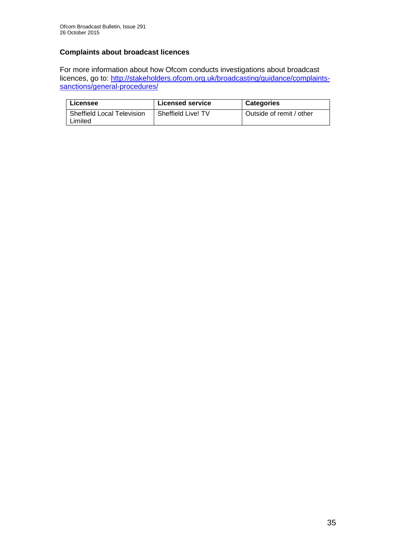## **Complaints about broadcast licences**

For more information about how Ofcom conducts investigations about broadcast licences, go to: [http://stakeholders.ofcom.org.uk/broadcasting/guidance/complaints](http://stakeholders.ofcom.org.uk/broadcasting/guidance/complaints-sanctions/general-procedures/)[sanctions/general-procedures/](http://stakeholders.ofcom.org.uk/broadcasting/guidance/complaints-sanctions/general-procedures/)

| Licensee                          | <b>Licensed service</b> | <b>Categories</b>        |
|-----------------------------------|-------------------------|--------------------------|
| <b>Sheffield Local Television</b> | Sheffield Live! TV      | Outside of remit / other |
| Limited                           |                         |                          |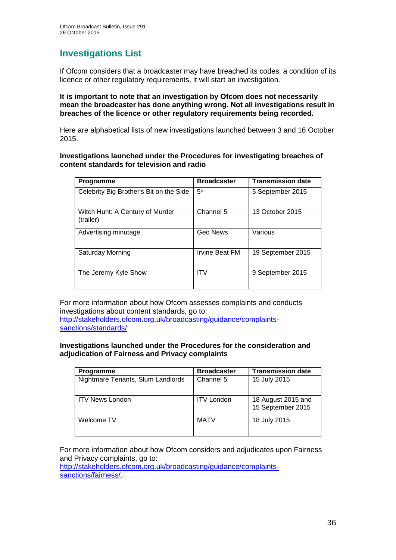## **Investigations List**

If Ofcom considers that a broadcaster may have breached its codes, a condition of its licence or other regulatory requirements, it will start an investigation.

#### **It is important to note that an investigation by Ofcom does not necessarily mean the broadcaster has done anything wrong. Not all investigations result in breaches of the licence or other regulatory requirements being recorded.**

Here are alphabetical lists of new investigations launched between 3 and 16 October 2015.

**Investigations launched under the Procedures for investigating breaches of content standards for television and radio**

| <b>Programme</b>                             | <b>Broadcaster</b> | <b>Transmission date</b> |
|----------------------------------------------|--------------------|--------------------------|
| Celebrity Big Brother's Bit on the Side      | $5^*$              | 5 September 2015         |
| Witch Hunt: A Century of Murder<br>(trailer) | Channel 5          | 13 October 2015          |
| Advertising minutage                         | Geo News           | Various                  |
| Saturday Morning                             | Irvine Beat FM     | 19 September 2015        |
| The Jeremy Kyle Show                         | <b>ITV</b>         | 9 September 2015         |

For more information about how Ofcom assesses complaints and conducts investigations about content standards, go to: [http://stakeholders.ofcom.org.uk/broadcasting/guidance/complaints](http://stakeholders.ofcom.org.uk/broadcasting/guidance/complaints-sanctions/standards/)[sanctions/standards/.](http://stakeholders.ofcom.org.uk/broadcasting/guidance/complaints-sanctions/standards/)

#### **Investigations launched under the Procedures for the consideration and adjudication of Fairness and Privacy complaints**

| Programme                         | <b>Broadcaster</b> | <b>Transmission date</b>                |
|-----------------------------------|--------------------|-----------------------------------------|
| Nightmare Tenants, Slum Landlords | Channel 5          | 15 July 2015                            |
| <b>ITV News London</b>            | <b>ITV London</b>  | 18 August 2015 and<br>15 September 2015 |
| Welcome TV                        | <b>MATV</b>        | 18 July 2015                            |

For more information about how Ofcom considers and adjudicates upon Fairness and Privacy complaints, go to:

[http://stakeholders.ofcom.org.uk/broadcasting/guidance/complaints](http://stakeholders.ofcom.org.uk/broadcasting/guidance/complaints-sanctions/fairness/)[sanctions/fairness/.](http://stakeholders.ofcom.org.uk/broadcasting/guidance/complaints-sanctions/fairness/)